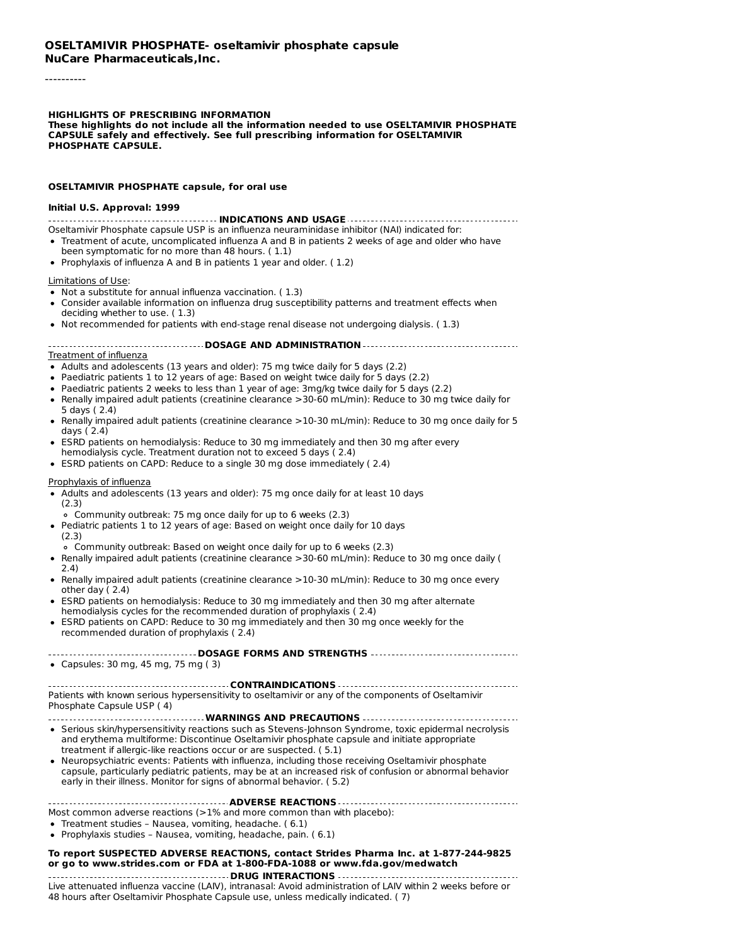----------

#### **HIGHLIGHTS OF PRESCRIBING INFORMATION**

**These highlights do not include all the information needed to use OSELTAMIVIR PHOSPHATE CAPSULE safely and effectively. See full prescribing information for OSELTAMIVIR PHOSPHATE CAPSULE.**

#### **OSELTAMIVIR PHOSPHATE capsule, for oral use**

#### **Initial U.S. Approval: 1999**

**INDICATIONS AND USAGE**

- Oseltamivir Phosphate capsule USP is an influenza neuraminidase inhibitor (NAI) indicated for: Treatment of acute, uncomplicated influenza A and B in patients 2 weeks of age and older who have been symptomatic for no more than 48 hours. ( 1.1)
- Prophylaxis of influenza A and B in patients 1 year and older. ( 1.2)

#### Limitations of Use:

- Not a substitute for annual influenza vaccination. ( 1.3)
- Consider available information on influenza drug susceptibility patterns and treatment effects when deciding whether to use. ( 1.3)
- Not recommended for patients with end-stage renal disease not undergoing dialysis. (1.3)

#### **DOSAGE AND ADMINISTRATION**

#### Treatment of influenza

- Adults and adolescents (13 years and older): 75 mg twice daily for 5 days (2.2)
- Paediatric patients 1 to 12 years of age: Based on weight twice daily for 5 days (2.2)
- Paediatric patients 2 weeks to less than 1 year of age: 3mg/kg twice daily for 5 days (2.2)
- Renally impaired adult patients (creatinine clearance >30-60 mL/min): Reduce to 30 mg twice daily for 5 days ( 2.4)
- Renally impaired adult patients (creatinine clearance >10-30 mL/min): Reduce to 30 mg once daily for 5 days ( 2.4)
- ESRD patients on hemodialysis: Reduce to 30 mg immediately and then 30 mg after every hemodialysis cycle. Treatment duration not to exceed 5 days ( 2.4)
- ESRD patients on CAPD: Reduce to a single 30 mg dose immediately ( 2.4)

#### Prophylaxis of influenza

- Adults and adolescents (13 years and older): 75 mg once daily for at least 10 days (2.3)
- Community outbreak: 75 mg once daily for up to 6 weeks (2.3)
- Pediatric patients 1 to 12 years of age: Based on weight once daily for 10 days (2.3)
- Community outbreak: Based on weight once daily for up to 6 weeks (2.3)
- Renally impaired adult patients (creatinine clearance >30-60 mL/min): Reduce to 30 mg once daily ( 2.4)
- Renally impaired adult patients (creatinine clearance >10-30 mL/min): Reduce to 30 mg once every other day ( 2.4)
- ESRD patients on hemodialysis: Reduce to 30 mg immediately and then 30 mg after alternate hemodialysis cycles for the recommended duration of prophylaxis ( 2.4)
- ESRD patients on CAPD: Reduce to 30 mg immediately and then 30 mg once weekly for the recommended duration of prophylaxis ( 2.4)

### **DOSAGE FORMS AND STRENGTHS**

Capsules: 30 mg, 45 mg, 75 mg ( 3)

#### **CONTRAINDICATIONS** Patients with known serious hypersensitivity to oseltamivir or any of the components of Oseltamivir Phosphate Capsule USP ( 4)

#### **WARNINGS AND PRECAUTIONS**

- Serious skin/hypersensitivity reactions such as Stevens-Johnson Syndrome, toxic epidermal necrolysis and erythema multiforme: Discontinue Oseltamivir phosphate capsule and initiate appropriate treatment if allergic-like reactions occur or are suspected. ( 5.1)
- Neuropsychiatric events: Patients with influenza, including those receiving Oseltamivir phosphate capsule, particularly pediatric patients, may be at an increased risk of confusion or abnormal behavior early in their illness. Monitor for signs of abnormal behavior. ( 5.2)

#### **ADVERSE REACTIONS**

Most common adverse reactions (>1% and more common than with placebo):

- Treatment studies Nausea, vomiting, headache. ( 6.1)
- Prophylaxis studies Nausea, vomiting, headache, pain. ( 6.1)

#### **To report SUSPECTED ADVERSE REACTIONS, contact Strides Pharma Inc. at 1-877-244-9825 or go to www.strides.com or FDA at 1-800-FDA-1088 or www.fda.gov/medwatch**

**DRUG INTERACTIONS** Live attenuated influenza vaccine (LAIV), intranasal: Avoid administration of LAIV within 2 weeks before or 48 hours after Oseltamivir Phosphate Capsule use, unless medically indicated. ( 7)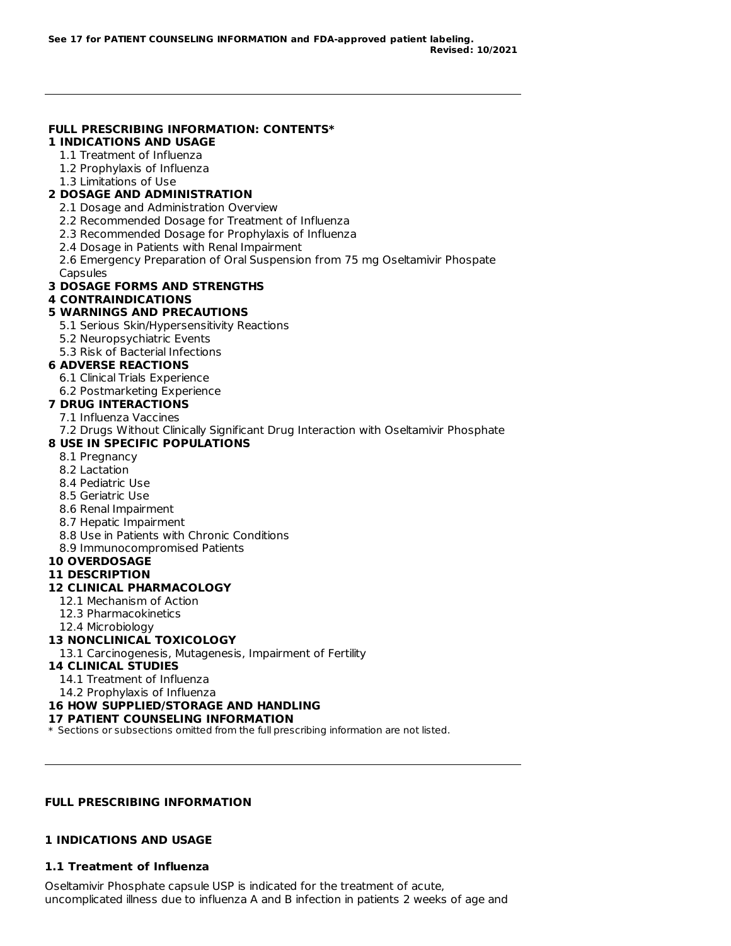# **FULL PRESCRIBING INFORMATION: CONTENTS\***

### **1 INDICATIONS AND USAGE**

- 1.1 Treatment of Influenza
- 1.2 Prophylaxis of Influenza
- 1.3 Limitations of Use

## **2 DOSAGE AND ADMINISTRATION**

- 2.1 Dosage and Administration Overview
- 2.2 Recommended Dosage for Treatment of Influenza
- 2.3 Recommended Dosage for Prophylaxis of Influenza
- 2.4 Dosage in Patients with Renal Impairment
- 2.6 Emergency Preparation of Oral Suspension from 75 mg Oseltamivir Phospate

### **Capsules**

### **3 DOSAGE FORMS AND STRENGTHS**

## **4 CONTRAINDICATIONS**

### **5 WARNINGS AND PRECAUTIONS**

- 5.1 Serious Skin/Hypersensitivity Reactions
- 5.2 Neuropsychiatric Events
- 5.3 Risk of Bacterial Infections

## **6 ADVERSE REACTIONS**

- 6.1 Clinical Trials Experience
- 6.2 Postmarketing Experience

## **7 DRUG INTERACTIONS**

- 7.1 Influenza Vaccines
- 7.2 Drugs Without Clinically Significant Drug Interaction with Oseltamivir Phosphate

### **8 USE IN SPECIFIC POPULATIONS**

- 8.1 Pregnancy
- 8.2 Lactation
- 8.4 Pediatric Use
- 8.5 Geriatric Use
- 8.6 Renal Impairment
- 8.7 Hepatic Impairment
- 8.8 Use in Patients with Chronic Conditions
- 8.9 Immunocompromised Patients

### **10 OVERDOSAGE**

### **11 DESCRIPTION**

## **12 CLINICAL PHARMACOLOGY**

- 12.1 Mechanism of Action
- 12.3 Pharmacokinetics
- 12.4 Microbiology

## **13 NONCLINICAL TOXICOLOGY**

13.1 Carcinogenesis, Mutagenesis, Impairment of Fertility

## **14 CLINICAL STUDIES**

- 14.1 Treatment of Influenza
- 14.2 Prophylaxis of Influenza

# **16 HOW SUPPLIED/STORAGE AND HANDLING**

# **17 PATIENT COUNSELING INFORMATION**

\* Sections or subsections omitted from the full prescribing information are not listed.

# **FULL PRESCRIBING INFORMATION**

# **1 INDICATIONS AND USAGE**

# **1.1 Treatment of Influenza**

Oseltamivir Phosphate capsule USP is indicated for the treatment of acute, uncomplicated illness due to influenza A and B infection in patients 2 weeks of age and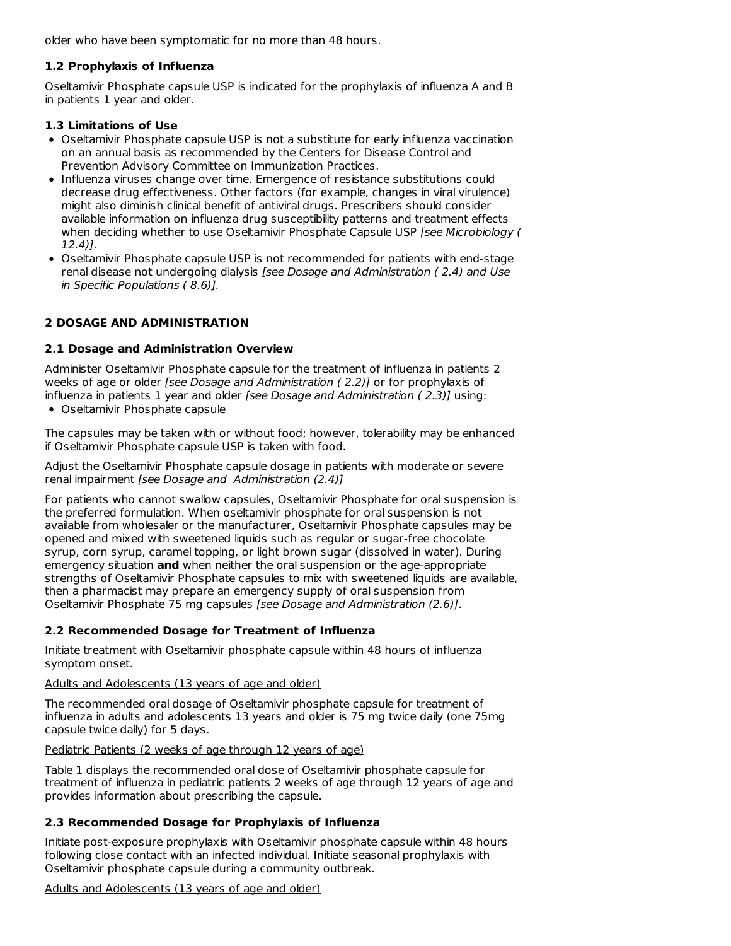older who have been symptomatic for no more than 48 hours.

## **1.2 Prophylaxis of Influenza**

Oseltamivir Phosphate capsule USP is indicated for the prophylaxis of influenza A and B in patients 1 year and older.

## **1.3 Limitations of Use**

- Oseltamivir Phosphate capsule USP is not a substitute for early influenza vaccination on an annual basis as recommended by the Centers for Disease Control and Prevention Advisory Committee on Immunization Practices.
- Influenza viruses change over time. Emergence of resistance substitutions could decrease drug effectiveness. Other factors (for example, changes in viral virulence) might also diminish clinical benefit of antiviral drugs. Prescribers should consider available information on influenza drug susceptibility patterns and treatment effects when deciding whether to use Oseltamivir Phosphate Capsule USP [see Microbiology ( 12.4)].
- Oseltamivir Phosphate capsule USP is not recommended for patients with end-stage renal disease not undergoing dialysis [see Dosage and Administration ( 2.4) and Use in Specific Populations ( 8.6)].

## **2 DOSAGE AND ADMINISTRATION**

## **2.1 Dosage and Administration Overview**

Administer Oseltamivir Phosphate capsule for the treatment of influenza in patients 2 weeks of age or older [see Dosage and Administration ( 2.2)] or for prophylaxis of influenza in patients 1 year and older [see Dosage and Administration  $(2.3)$ ] using:

Oseltamivir Phosphate capsule

The capsules may be taken with or without food; however, tolerability may be enhanced if Oseltamivir Phosphate capsule USP is taken with food.

Adjust the Oseltamivir Phosphate capsule dosage in patients with moderate or severe renal impairment [see Dosage and Administration (2.4)]

For patients who cannot swallow capsules, Oseltamivir Phosphate for oral suspension is the preferred formulation. When oseltamivir phosphate for oral suspension is not available from wholesaler or the manufacturer, Oseltamivir Phosphate capsules may be opened and mixed with sweetened liquids such as regular or sugar-free chocolate syrup, corn syrup, caramel topping, or light brown sugar (dissolved in water). During emergency situation **and** when neither the oral suspension or the age-appropriate strengths of Oseltamivir Phosphate capsules to mix with sweetened liquids are available, then a pharmacist may prepare an emergency supply of oral suspension from Oseltamivir Phosphate 75 mg capsules [see Dosage and Administration (2.6)].

### **2.2 Recommended Dosage for Treatment of Influenza**

Initiate treatment with Oseltamivir phosphate capsule within 48 hours of influenza symptom onset.

### Adults and Adolescents (13 years of age and older)

The recommended oral dosage of Oseltamivir phosphate capsule for treatment of influenza in adults and adolescents 13 years and older is 75 mg twice daily (one 75mg capsule twice daily) for 5 days.

### Pediatric Patients (2 weeks of age through 12 years of age)

Table 1 displays the recommended oral dose of Oseltamivir phosphate capsule for treatment of influenza in pediatric patients 2 weeks of age through 12 years of age and provides information about prescribing the capsule.

## **2.3 Recommended Dosage for Prophylaxis of Influenza**

Initiate post-exposure prophylaxis with Oseltamivir phosphate capsule within 48 hours following close contact with an infected individual. Initiate seasonal prophylaxis with Oseltamivir phosphate capsule during a community outbreak.

### Adults and Adolescents (13 years of age and older)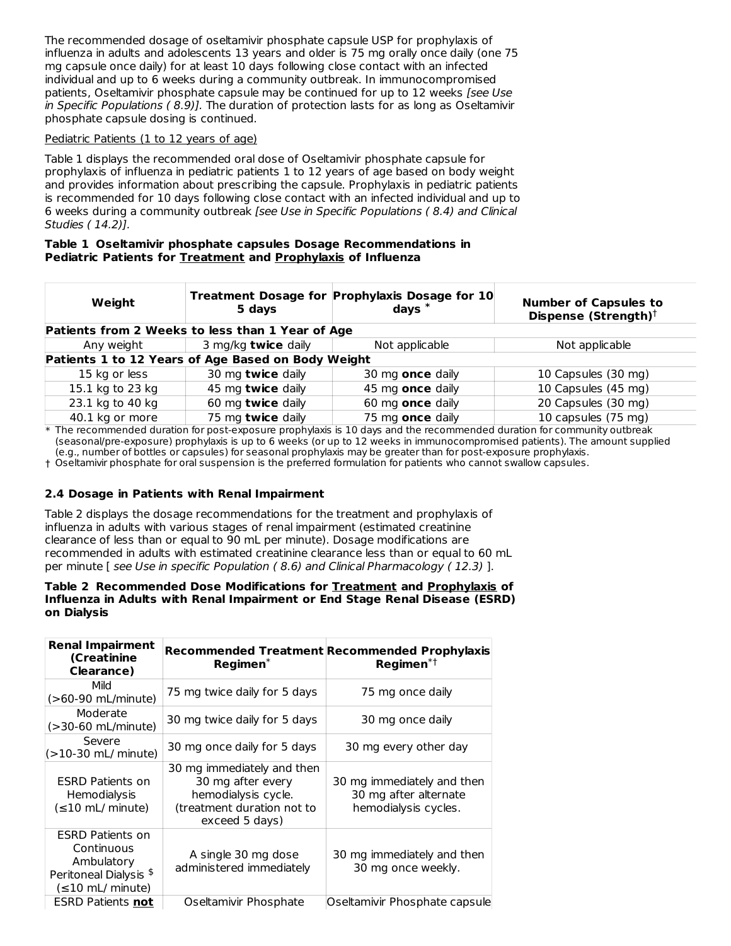The recommended dosage of oseltamivir phosphate capsule USP for prophylaxis of influenza in adults and adolescents 13 years and older is 75 mg orally once daily (one 75 mg capsule once daily) for at least 10 days following close contact with an infected individual and up to 6 weeks during a community outbreak. In immunocompromised patients, Oseltamivir phosphate capsule may be continued for up to 12 weeks [see Use in Specific Populations ( 8.9)]. The duration of protection lasts for as long as Oseltamivir phosphate capsule dosing is continued.

## Pediatric Patients (1 to 12 years of age)

Table 1 displays the recommended oral dose of Oseltamivir phosphate capsule for prophylaxis of influenza in pediatric patients 1 to 12 years of age based on body weight and provides information about prescribing the capsule. Prophylaxis in pediatric patients is recommended for 10 days following close contact with an infected individual and up to 6 weeks during a community outbreak [see Use in Specific Populations ( 8.4) and Clinical Studies ( 14.2)].

#### **Table 1 Oseltamivir phosphate capsules Dosage Recommendations in Pediatric Patients for Treatment and Prophylaxis of Influenza**

| Weight           | 5 days                                             | Treatment Dosage for Prophylaxis Dosage for 10<br>days $^{\ast}$ | <b>Number of Capsules to</b><br>Dispense (Strength) <sup>†</sup> |
|------------------|----------------------------------------------------|------------------------------------------------------------------|------------------------------------------------------------------|
|                  | Patients from 2 Weeks to less than 1 Year of Age   |                                                                  |                                                                  |
| Any weight       | 3 mg/kg twice daily                                | Not applicable                                                   | Not applicable                                                   |
|                  | Patients 1 to 12 Years of Age Based on Body Weight |                                                                  |                                                                  |
| 15 kg or less    | 30 mg twice daily                                  | 30 mg once daily                                                 | 10 Capsules (30 mg)                                              |
| 15.1 kg to 23 kg | 45 mg twice daily                                  | 45 mg once daily                                                 | 10 Capsules (45 mg)                                              |
| 23.1 kg to 40 kg | 60 mg twice daily                                  | 60 mg once daily                                                 | 20 Capsules (30 mg)                                              |
| 40.1 kg or more  | 75 mg twice daily                                  | 75 mg once daily                                                 | 10 capsules (75 mg)                                              |

\* The recommended duration for post-exposure prophylaxis is 10 days and the recommended duration for community outbreak (seasonal/pre-exposure) prophylaxis is up to 6 weeks (or up to 12 weeks in immunocompromised patients). The amount supplied (e.g., number of bottles or capsules) for seasonal prophylaxis may be greater than for post-exposure prophylaxis.

† Oseltamivir phosphate for oral suspension is the preferred formulation for patients who cannot swallow capsules.

### **2.4 Dosage in Patients with Renal Impairment**

Table 2 displays the dosage recommendations for the treatment and prophylaxis of influenza in adults with various stages of renal impairment (estimated creatinine clearance of less than or equal to 90 mL per minute). Dosage modifications are recommended in adults with estimated creatinine clearance less than or equal to 60 mL per minute [ see Use in specific Population ( 8.6) and Clinical Pharmacology ( 12.3) ].

#### **Table 2 Recommended Dose Modifications for Treatment and Prophylaxis of Influenza in Adults with Renal Impairment or End Stage Renal Disease (ESRD) on Dialysis**

| <b>Renal Impairment</b><br>(Creatinine<br>Clearance)                                                               | Regimen <sup>*</sup>                                                                                                   | <b>Recommended Treatment Recommended Prophylaxis</b><br>Regimen $*$ <sup>†</sup> |
|--------------------------------------------------------------------------------------------------------------------|------------------------------------------------------------------------------------------------------------------------|----------------------------------------------------------------------------------|
| Mild<br>(>60-90 mL/minute)                                                                                         | 75 mg twice daily for 5 days                                                                                           | 75 mg once daily                                                                 |
| Moderate<br>(>30-60 mL/minute)                                                                                     | 30 mg twice daily for 5 days                                                                                           | 30 mg once daily                                                                 |
| Severe<br>(>10-30 mL/ minute)                                                                                      | 30 mg once daily for 5 days                                                                                            | 30 mg every other day                                                            |
| <b>ESRD Patients on</b><br><b>Hemodialysis</b><br>$(\leq 10 \text{ mL/minute})$                                    | 30 mg immediately and then<br>30 mg after every<br>hemodialysis cycle.<br>(treatment duration not to<br>exceed 5 days) | 30 mg immediately and then<br>30 mg after alternate<br>hemodialysis cycles.      |
| <b>ESRD Patients on</b><br>Continuous<br>Ambulatory<br>Peritoneal Dialysis <sup>\$</sup><br>$(\leq 10$ mL/ minute) | A single 30 mg dose<br>administered immediately                                                                        | 30 mg immediately and then<br>30 mg once weekly.                                 |
| <b>ESRD Patients not</b>                                                                                           | Oseltamivir Phosphate                                                                                                  | Oseltamivir Phosphate capsule                                                    |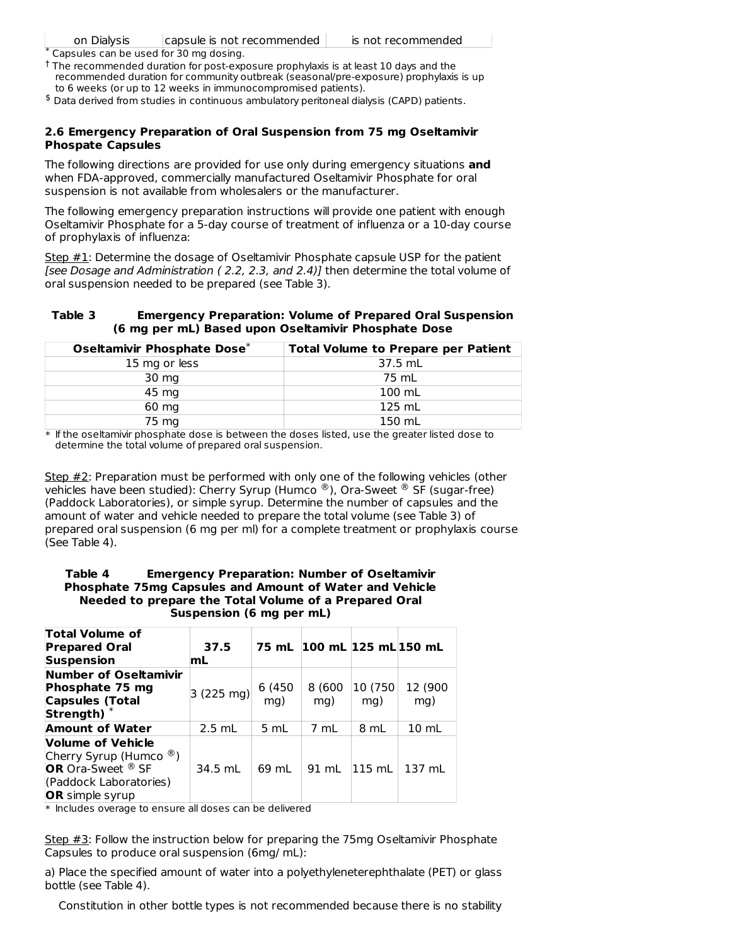Capsules can be used for 30 mg dosing. \*

 $^\dagger$  The recommended duration for post-exposure prophylaxis is at least 10 days and the recommended duration for community outbreak (seasonal/pre-exposure) prophylaxis is up to 6 weeks (or up to 12 weeks in immunocompromised patients).

 $$$  Data derived from studies in continuous ambulatory peritoneal dialysis (CAPD) patients.

#### **2.6 Emergency Preparation of Oral Suspension from 75 mg Oseltamivir Phospate Capsules**

The following directions are provided for use only during emergency situations **and** when FDA-approved, commercially manufactured Oseltamivir Phosphate for oral suspension is not available from wholesalers or the manufacturer.

The following emergency preparation instructions will provide one patient with enough Oseltamivir Phosphate for a 5-day course of treatment of influenza or a 10-day course of prophylaxis of influenza:

Step  $#1$ : Determine the dosage of Oseltamivir Phosphate capsule USP for the patient [see Dosage and Administration ( 2.2, 2.3, and 2.4)] then determine the total volume of oral suspension needed to be prepared (see Table 3).

#### **Table 3 Emergency Preparation: Volume of Prepared Oral Suspension (6 mg per mL) Based upon Oseltamivir Phosphate Dose**

| Oseltamivir Phosphate Dose* | <b>Total Volume to Prepare per Patient</b> |
|-----------------------------|--------------------------------------------|
| 15 mg or less               | 37.5 mL                                    |
| 30 mg                       | 75 mL                                      |
| 45 mg                       | $100$ mL                                   |
| 60 mg                       | $125$ mL                                   |
| 75 mg                       | 150 mL                                     |

\* If the oseltamivir phosphate dose is between the doses listed, use the greater listed dose to determine the total volume of prepared oral suspension.

Step #2: Preparation must be performed with only one of the following vehicles (other vehicles have been studied): Cherry Syrup (Humco  $^{\circledR}$ ), Ora-Sweet  $^{\circledR}$  SF (sugar-free) (Paddock Laboratories), or simple syrup. Determine the number of capsules and the amount of water and vehicle needed to prepare the total volume (see Table 3) of prepared oral suspension (6 mg per ml) for a complete treatment or prophylaxis course (See Table 4).

### **Table 4 Emergency Preparation: Number of Oseltamivir Phosphate 75mg Capsules and Amount of Water and Vehicle Needed to prepare the Total Volume of a Prepared Oral Suspension (6 mg per mL)**

| <b>Total Volume of</b><br><b>Prepared Oral</b><br><b>Suspension</b>                                                                                 | 37.5<br>mL |               | 75 mL 100 mL 125 mL 150 mL |                 |                 |
|-----------------------------------------------------------------------------------------------------------------------------------------------------|------------|---------------|----------------------------|-----------------|-----------------|
| Number of Oseltamivir<br>Phosphate 75 mg<br><b>Capsules (Total</b><br>Strength)                                                                     | 3 (225 mg) | 6 (450<br>ma) | 8 (600<br>mg)              | 10 (750)<br>mg) | 12 (900<br>mg)  |
| <b>Amount of Water</b>                                                                                                                              | $2.5$ mL   | 5 mL          | 7 mL                       | 8 mL            | $10 \text{ mL}$ |
| Volume of Vehicle<br>Cherry Syrup (Humco $\mathcal{B}$ )<br><b>OR</b> Ora-Sweet <sup>®</sup> SF<br>(Paddock Laboratories)<br><b>OR</b> simple syrup | 34.5 mL    | 69 mL         | 91 mL                      | $115$ mL        | 137 mL          |

 $\ast$  Includes overage to ensure all doses can be delivered

Step #3: Follow the instruction below for preparing the 75mg Oseltamivir Phosphate Capsules to produce oral suspension (6mg/ mL):

a) Place the specified amount of water into a polyethyleneterephthalate (PET) or glass bottle (see Table 4).

Constitution in other bottle types is not recommended because there is no stability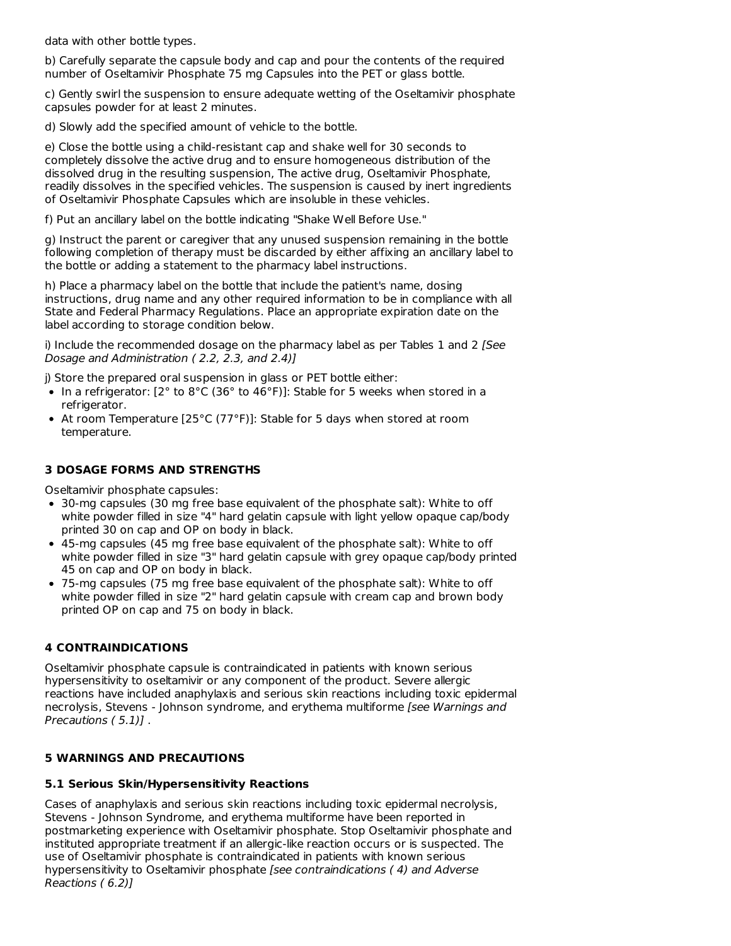data with other bottle types.

b) Carefully separate the capsule body and cap and pour the contents of the required number of Oseltamivir Phosphate 75 mg Capsules into the PET or glass bottle.

c) Gently swirl the suspension to ensure adequate wetting of the Oseltamivir phosphate capsules powder for at least 2 minutes.

d) Slowly add the specified amount of vehicle to the bottle.

e) Close the bottle using a child-resistant cap and shake well for 30 seconds to completely dissolve the active drug and to ensure homogeneous distribution of the dissolved drug in the resulting suspension, The active drug, Oseltamivir Phosphate, readily dissolves in the specified vehicles. The suspension is caused by inert ingredients of Oseltamivir Phosphate Capsules which are insoluble in these vehicles.

f) Put an ancillary label on the bottle indicating "Shake Well Before Use."

g) Instruct the parent or caregiver that any unused suspension remaining in the bottle following completion of therapy must be discarded by either affixing an ancillary label to the bottle or adding a statement to the pharmacy label instructions.

h) Place a pharmacy label on the bottle that include the patient's name, dosing instructions, drug name and any other required information to be in compliance with all State and Federal Pharmacy Regulations. Place an appropriate expiration date on the label according to storage condition below.

i) Include the recommended dosage on the pharmacy label as per Tables 1 and 2 [See Dosage and Administration ( 2.2, 2.3, and 2.4)]

j) Store the prepared oral suspension in glass or PET bottle either:

- In a refrigerator:  $[2^{\circ}$  to  $8^{\circ}C(36^{\circ}$  to  $46^{\circ}F)]$ : Stable for 5 weeks when stored in a refrigerator.
- At room Temperature [25°C (77°F)]: Stable for 5 days when stored at room temperature.

## **3 DOSAGE FORMS AND STRENGTHS**

Oseltamivir phosphate capsules:

- 30-mg capsules (30 mg free base equivalent of the phosphate salt): White to off white powder filled in size "4" hard gelatin capsule with light yellow opaque cap/body printed 30 on cap and OP on body in black.
- 45-mg capsules (45 mg free base equivalent of the phosphate salt): White to off white powder filled in size "3" hard gelatin capsule with grey opaque cap/body printed 45 on cap and OP on body in black.
- 75-mg capsules (75 mg free base equivalent of the phosphate salt): White to off white powder filled in size "2" hard gelatin capsule with cream cap and brown body printed OP on cap and 75 on body in black.

## **4 CONTRAINDICATIONS**

Oseltamivir phosphate capsule is contraindicated in patients with known serious hypersensitivity to oseltamivir or any component of the product. Severe allergic reactions have included anaphylaxis and serious skin reactions including toxic epidermal necrolysis, Stevens - Johnson syndrome, and erythema multiforme [see Warnings and Precautions ( 5.1)] .

## **5 WARNINGS AND PRECAUTIONS**

## **5.1 Serious Skin/Hypersensitivity Reactions**

Cases of anaphylaxis and serious skin reactions including toxic epidermal necrolysis, Stevens - Johnson Syndrome, and erythema multiforme have been reported in postmarketing experience with Oseltamivir phosphate. Stop Oseltamivir phosphate and instituted appropriate treatment if an allergic-like reaction occurs or is suspected. The use of Oseltamivir phosphate is contraindicated in patients with known serious hypersensitivity to Oseltamivir phosphate [see contraindications (4) and Adverse Reactions ( 6.2)]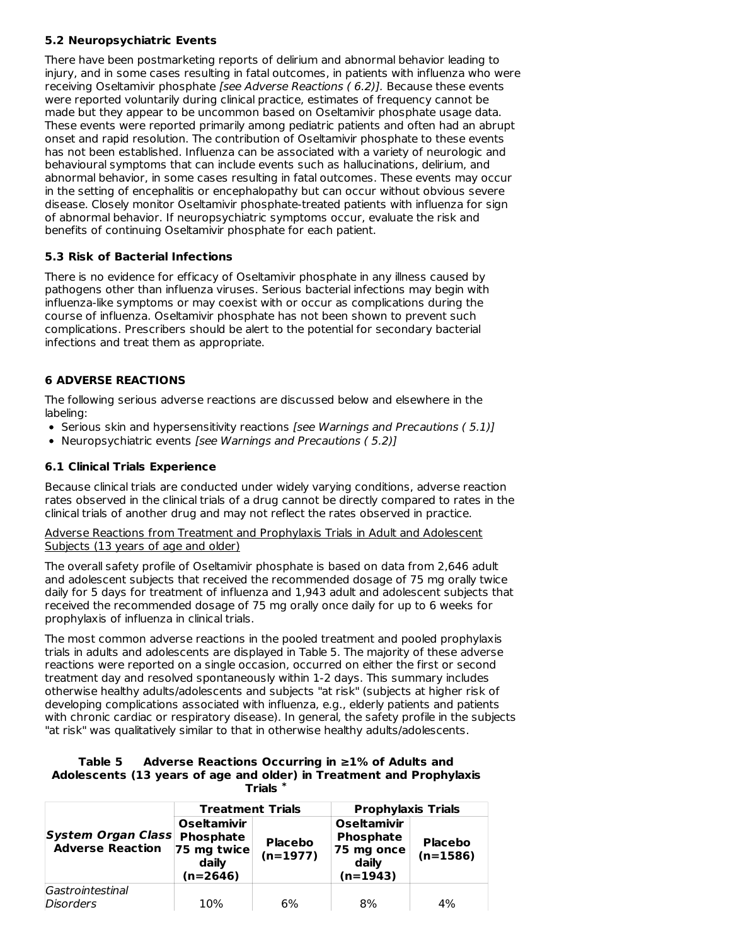## **5.2 Neuropsychiatric Events**

There have been postmarketing reports of delirium and abnormal behavior leading to injury, and in some cases resulting in fatal outcomes, in patients with influenza who were receiving Oseltamivir phosphate [see Adverse Reactions ( 6.2)]. Because these events were reported voluntarily during clinical practice, estimates of frequency cannot be made but they appear to be uncommon based on Oseltamivir phosphate usage data. These events were reported primarily among pediatric patients and often had an abrupt onset and rapid resolution. The contribution of Oseltamivir phosphate to these events has not been established. Influenza can be associated with a variety of neurologic and behavioural symptoms that can include events such as hallucinations, delirium, and abnormal behavior, in some cases resulting in fatal outcomes. These events may occur in the setting of encephalitis or encephalopathy but can occur without obvious severe disease. Closely monitor Oseltamivir phosphate-treated patients with influenza for sign of abnormal behavior. If neuropsychiatric symptoms occur, evaluate the risk and benefits of continuing Oseltamivir phosphate for each patient.

## **5.3 Risk of Bacterial Infections**

There is no evidence for efficacy of Oseltamivir phosphate in any illness caused by pathogens other than influenza viruses. Serious bacterial infections may begin with influenza-like symptoms or may coexist with or occur as complications during the course of influenza. Oseltamivir phosphate has not been shown to prevent such complications. Prescribers should be alert to the potential for secondary bacterial infections and treat them as appropriate.

## **6 ADVERSE REACTIONS**

The following serious adverse reactions are discussed below and elsewhere in the labeling:

- Serious skin and hypersensitivity reactions [see Warnings and Precautions (5.1)]
- Neuropsychiatric events [see Warnings and Precautions ( 5.2)]

### **6.1 Clinical Trials Experience**

Because clinical trials are conducted under widely varying conditions, adverse reaction rates observed in the clinical trials of a drug cannot be directly compared to rates in the clinical trials of another drug and may not reflect the rates observed in practice.

Adverse Reactions from Treatment and Prophylaxis Trials in Adult and Adolescent Subjects (13 years of age and older)

The overall safety profile of Oseltamivir phosphate is based on data from 2,646 adult and adolescent subjects that received the recommended dosage of 75 mg orally twice daily for 5 days for treatment of influenza and 1,943 adult and adolescent subjects that received the recommended dosage of 75 mg orally once daily for up to 6 weeks for prophylaxis of influenza in clinical trials.

The most common adverse reactions in the pooled treatment and pooled prophylaxis trials in adults and adolescents are displayed in Table 5. The majority of these adverse reactions were reported on a single occasion, occurred on either the first or second treatment day and resolved spontaneously within 1-2 days. This summary includes otherwise healthy adults/adolescents and subjects "at risk" (subjects at higher risk of developing complications associated with influenza, e.g., elderly patients and patients with chronic cardiac or respiratory disease). In general, the safety profile in the subjects "at risk" was qualitatively similar to that in otherwise healthy adults/adolescents.

#### **Table 5 Adverse Reactions Occurring in ≥1% of Adults and Adolescents (13 years of age and older) in Treatment and Prophylaxis Trials \***

|                                                      | <b>Treatment Trials</b>                                               |                              | <b>Prophylaxis Trials</b>                                                   |                              |  |
|------------------------------------------------------|-----------------------------------------------------------------------|------------------------------|-----------------------------------------------------------------------------|------------------------------|--|
| <b>System Organ Class</b><br><b>Adverse Reaction</b> | <b>Oseltamivir</b><br>Phosphate<br>75 mg twice<br>daily<br>$(n=2646)$ | <b>Placebo</b><br>$(n=1977)$ | <b>Oseltamivir</b><br><b>Phosphate</b><br>75 mg once<br>daily<br>$(n=1943)$ | <b>Placebo</b><br>$(n=1586)$ |  |
| Gastrointestinal<br><i>Disorders</i>                 | 10%                                                                   | 6%                           | 8%                                                                          | 4%                           |  |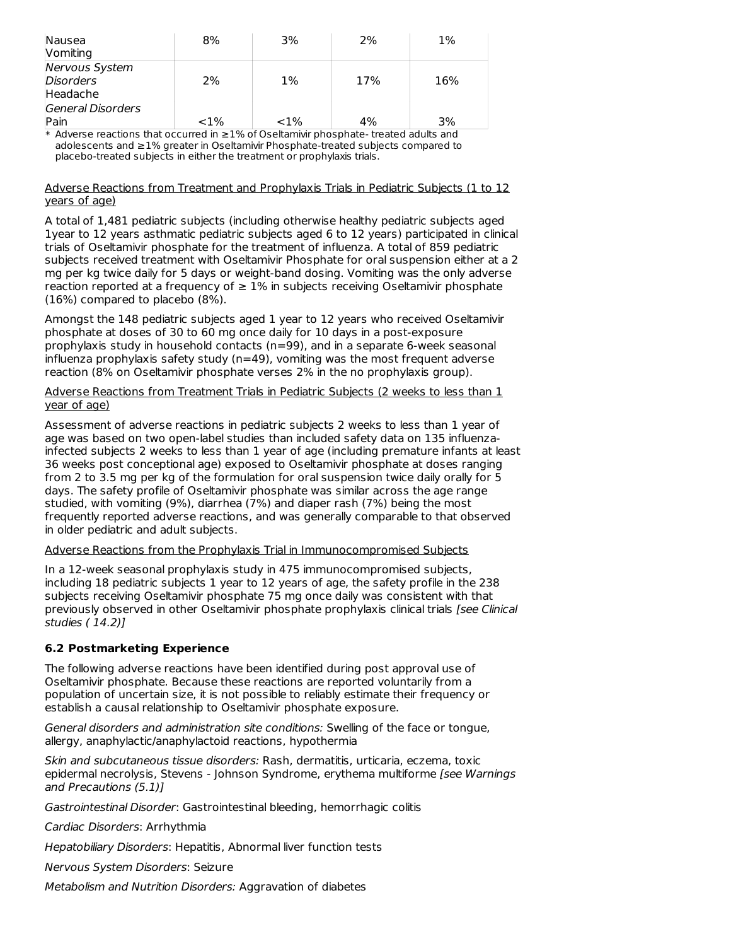| Nausea<br>Vomiting                      | 8%      | 3%       | 2%  | 1%  |
|-----------------------------------------|---------|----------|-----|-----|
| Nervous System<br>Disorders<br>Headache | 2%      | 1%       | 17% | 16% |
| General Disorders<br>Pain               | $< 1\%$ | ${<}1\%$ | 4%  | 3%  |

\* Adverse reactions that occurred in ≥1% of Oseltamivir phosphate- treated adults and adolescents and ≥1% greater in Oseltamivir Phosphate-treated subjects compared to placebo-treated subjects in either the treatment or prophylaxis trials.

#### Adverse Reactions from Treatment and Prophylaxis Trials in Pediatric Subjects (1 to 12 years of age)

A total of 1,481 pediatric subjects (including otherwise healthy pediatric subjects aged 1year to 12 years asthmatic pediatric subjects aged 6 to 12 years) participated in clinical trials of Oseltamivir phosphate for the treatment of influenza. A total of 859 pediatric subjects received treatment with Oseltamivir Phosphate for oral suspension either at a 2 mg per kg twice daily for 5 days or weight-band dosing. Vomiting was the only adverse reaction reported at a frequency of  $\geq 1\%$  in subjects receiving Oseltamivir phosphate (16%) compared to placebo (8%).

Amongst the 148 pediatric subjects aged 1 year to 12 years who received Oseltamivir phosphate at doses of 30 to 60 mg once daily for 10 days in a post-exposure prophylaxis study in household contacts (n=99), and in a separate 6-week seasonal influenza prophylaxis safety study  $(n=49)$ , vomiting was the most frequent adverse reaction (8% on Oseltamivir phosphate verses 2% in the no prophylaxis group).

### Adverse Reactions from Treatment Trials in Pediatric Subjects (2 weeks to less than 1 year of age)

Assessment of adverse reactions in pediatric subjects 2 weeks to less than 1 year of age was based on two open-label studies than included safety data on 135 influenzainfected subjects 2 weeks to less than 1 year of age (including premature infants at least 36 weeks post conceptional age) exposed to Oseltamivir phosphate at doses ranging from 2 to 3.5 mg per kg of the formulation for oral suspension twice daily orally for 5 days. The safety profile of Oseltamivir phosphate was similar across the age range studied, with vomiting (9%), diarrhea (7%) and diaper rash (7%) being the most frequently reported adverse reactions, and was generally comparable to that observed in older pediatric and adult subjects.

### Adverse Reactions from the Prophylaxis Trial in Immunocompromised Subjects

In a 12-week seasonal prophylaxis study in 475 immunocompromised subjects, including 18 pediatric subjects 1 year to 12 years of age, the safety profile in the 238 subjects receiving Oseltamivir phosphate 75 mg once daily was consistent with that previously observed in other Oseltamivir phosphate prophylaxis clinical trials [see Clinical studies ( 14.2)]

## **6.2 Postmarketing Experience**

The following adverse reactions have been identified during post approval use of Oseltamivir phosphate. Because these reactions are reported voluntarily from a population of uncertain size, it is not possible to reliably estimate their frequency or establish a causal relationship to Oseltamivir phosphate exposure.

General disorders and administration site conditions: Swelling of the face or tongue, allergy, anaphylactic/anaphylactoid reactions, hypothermia

Skin and subcutaneous tissue disorders: Rash, dermatitis, urticaria, eczema, toxic epidermal necrolysis, Stevens - Johnson Syndrome, erythema multiforme [see Warnings and Precautions (5.1)]

Gastrointestinal Disorder: Gastrointestinal bleeding, hemorrhagic colitis

Cardiac Disorders: Arrhythmia

Hepatobiliary Disorders: Hepatitis, Abnormal liver function tests

Nervous System Disorders: Seizure

Metabolism and Nutrition Disorders: Aggravation of diabetes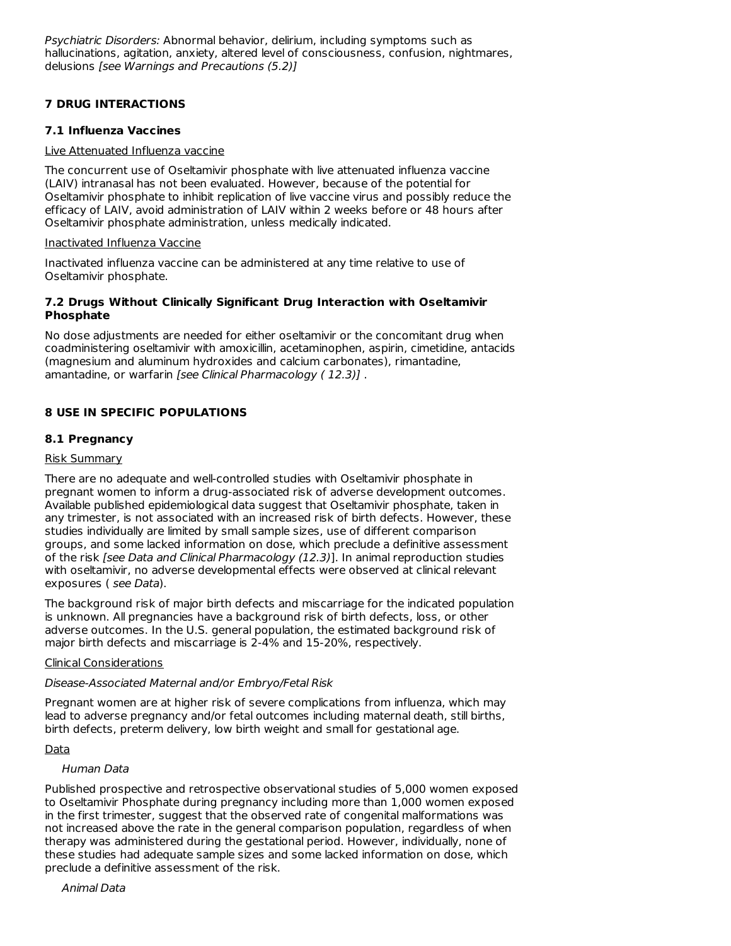Psychiatric Disorders: Abnormal behavior, delirium, including symptoms such as hallucinations, agitation, anxiety, altered level of consciousness, confusion, nightmares, delusions [see Warnings and Precautions (5.2)]

## **7 DRUG INTERACTIONS**

### **7.1 Influenza Vaccines**

### Live Attenuated Influenza vaccine

The concurrent use of Oseltamivir phosphate with live attenuated influenza vaccine (LAIV) intranasal has not been evaluated. However, because of the potential for Oseltamivir phosphate to inhibit replication of live vaccine virus and possibly reduce the efficacy of LAIV, avoid administration of LAIV within 2 weeks before or 48 hours after Oseltamivir phosphate administration, unless medically indicated.

### Inactivated Influenza Vaccine

Inactivated influenza vaccine can be administered at any time relative to use of Oseltamivir phosphate.

### **7.2 Drugs Without Clinically Significant Drug Interaction with Oseltamivir Phosphate**

No dose adjustments are needed for either oseltamivir or the concomitant drug when coadministering oseltamivir with amoxicillin, acetaminophen, aspirin, cimetidine, antacids (magnesium and aluminum hydroxides and calcium carbonates), rimantadine, amantadine, or warfarin [see Clinical Pharmacology ( 12.3)] .

## **8 USE IN SPECIFIC POPULATIONS**

## **8.1 Pregnancy**

## Risk Summary

There are no adequate and well-controlled studies with Oseltamivir phosphate in pregnant women to inform a drug-associated risk of adverse development outcomes. Available published epidemiological data suggest that Oseltamivir phosphate, taken in any trimester, is not associated with an increased risk of birth defects. However, these studies individually are limited by small sample sizes, use of different comparison groups, and some lacked information on dose, which preclude a definitive assessment of the risk [see Data and Clinical Pharmacology (12.3)]. In animal reproduction studies with oseltamivir, no adverse developmental effects were observed at clinical relevant exposures ( see Data).

The background risk of major birth defects and miscarriage for the indicated population is unknown. All pregnancies have a background risk of birth defects, loss, or other adverse outcomes. In the U.S. general population, the estimated background risk of major birth defects and miscarriage is 2-4% and 15-20%, respectively.

### Clinical Considerations

## Disease-Associated Maternal and/or Embryo/Fetal Risk

Pregnant women are at higher risk of severe complications from influenza, which may lead to adverse pregnancy and/or fetal outcomes including maternal death, still births, birth defects, preterm delivery, low birth weight and small for gestational age.

### Data

## Human Data

Published prospective and retrospective observational studies of 5,000 women exposed to Oseltamivir Phosphate during pregnancy including more than 1,000 women exposed in the first trimester, suggest that the observed rate of congenital malformations was not increased above the rate in the general comparison population, regardless of when therapy was administered during the gestational period. However, individually, none of these studies had adequate sample sizes and some lacked information on dose, which preclude a definitive assessment of the risk.

Animal Data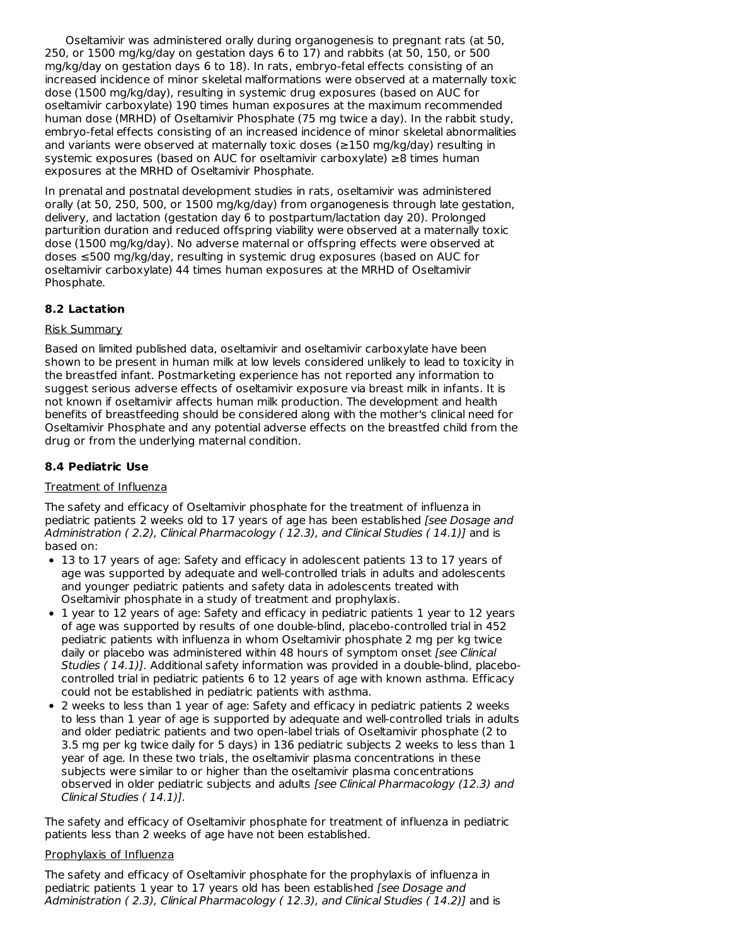Oseltamivir was administered orally during organogenesis to pregnant rats (at 50, 250, or 1500 mg/kg/day on gestation days 6 to 17) and rabbits (at 50, 150, or 500 mg/kg/day on gestation days 6 to 18). In rats, embryo-fetal effects consisting of an increased incidence of minor skeletal malformations were observed at a maternally toxic dose (1500 mg/kg/day), resulting in systemic drug exposures (based on AUC for oseltamivir carboxylate) 190 times human exposures at the maximum recommended human dose (MRHD) of Oseltamivir Phosphate (75 mg twice a day). In the rabbit study, embryo-fetal effects consisting of an increased incidence of minor skeletal abnormalities and variants were observed at maternally toxic doses (≥150 mg/kg/day) resulting in systemic exposures (based on AUC for oseltamivir carboxylate) ≥8 times human exposures at the MRHD of Oseltamivir Phosphate.

In prenatal and postnatal development studies in rats, oseltamivir was administered orally (at 50, 250, 500, or 1500 mg/kg/day) from organogenesis through late gestation, delivery, and lactation (gestation day 6 to postpartum/lactation day 20). Prolonged parturition duration and reduced offspring viability were observed at a maternally toxic dose (1500 mg/kg/day). No adverse maternal or offspring effects were observed at doses ≤500 mg/kg/day, resulting in systemic drug exposures (based on AUC for oseltamivir carboxylate) 44 times human exposures at the MRHD of Oseltamivir Phosphate.

## **8.2 Lactation**

### Risk Summary

Based on limited published data, oseltamivir and oseltamivir carboxylate have been shown to be present in human milk at low levels considered unlikely to lead to toxicity in the breastfed infant. Postmarketing experience has not reported any information to suggest serious adverse effects of oseltamivir exposure via breast milk in infants. It is not known if oseltamivir affects human milk production. The development and health benefits of breastfeeding should be considered along with the mother's clinical need for Oseltamivir Phosphate and any potential adverse effects on the breastfed child from the drug or from the underlying maternal condition.

### **8.4 Pediatric Use**

### Treatment of Influenza

The safety and efficacy of Oseltamivir phosphate for the treatment of influenza in pediatric patients 2 weeks old to 17 years of age has been established [see Dosage and Administration (2.2), Clinical Pharmacology (12.3), and Clinical Studies (14.1)] and is based on:

- 13 to 17 years of age: Safety and efficacy in adolescent patients 13 to 17 years of age was supported by adequate and well-controlled trials in adults and adolescents and younger pediatric patients and safety data in adolescents treated with Oseltamivir phosphate in a study of treatment and prophylaxis.
- 1 year to 12 years of age: Safety and efficacy in pediatric patients 1 year to 12 years of age was supported by results of one double-blind, placebo-controlled trial in 452 pediatric patients with influenza in whom Oseltamivir phosphate 2 mg per kg twice daily or placebo was administered within 48 hours of symptom onset *[see Clinica]* Studies ( 14.1)]. Additional safety information was provided in a double-blind, placebocontrolled trial in pediatric patients 6 to 12 years of age with known asthma. Efficacy could not be established in pediatric patients with asthma.
- 2 weeks to less than 1 year of age: Safety and efficacy in pediatric patients 2 weeks to less than 1 year of age is supported by adequate and well-controlled trials in adults and older pediatric patients and two open-label trials of Oseltamivir phosphate (2 to 3.5 mg per kg twice daily for 5 days) in 136 pediatric subjects 2 weeks to less than 1 year of age. In these two trials, the oseltamivir plasma concentrations in these subjects were similar to or higher than the oseltamivir plasma concentrations observed in older pediatric subjects and adults [see Clinical Pharmacology (12.3) and Clinical Studies ( 14.1)].

The safety and efficacy of Oseltamivir phosphate for treatment of influenza in pediatric patients less than 2 weeks of age have not been established.

#### Prophylaxis of Influenza

The safety and efficacy of Oseltamivir phosphate for the prophylaxis of influenza in pediatric patients 1 year to 17 years old has been established [see Dosage and Administration (2.3), Clinical Pharmacology (12.3), and Clinical Studies (14.2)] and is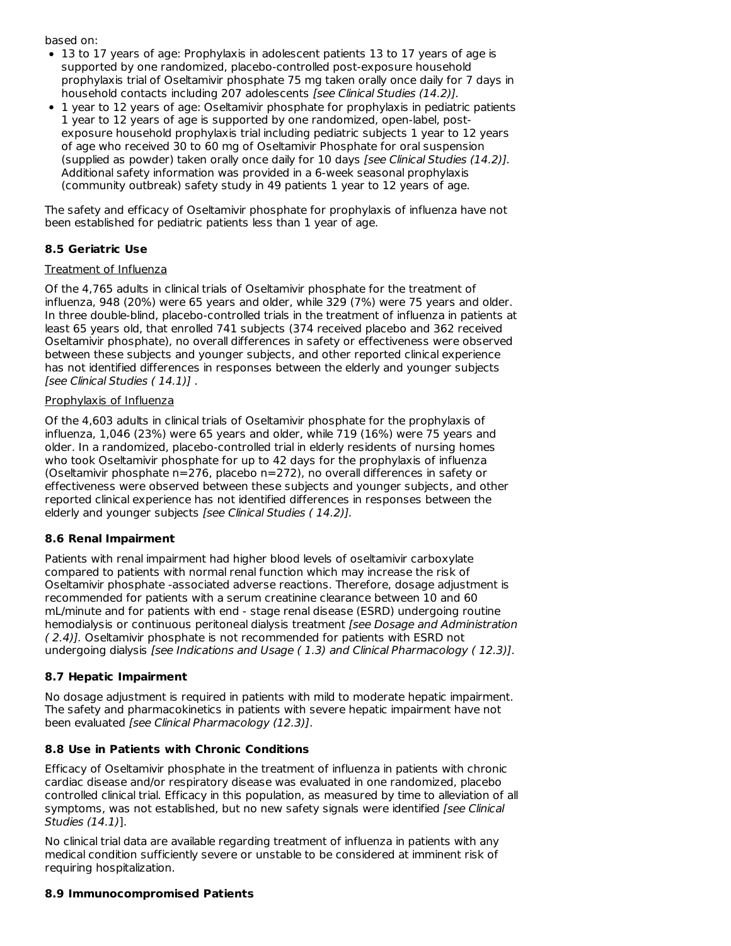based on:

- 13 to 17 years of age: Prophylaxis in adolescent patients 13 to 17 years of age is supported by one randomized, placebo-controlled post-exposure household prophylaxis trial of Oseltamivir phosphate 75 mg taken orally once daily for 7 days in household contacts including 207 adolescents [see Clinical Studies (14.2)].
- 1 year to 12 years of age: Oseltamivir phosphate for prophylaxis in pediatric patients 1 year to 12 years of age is supported by one randomized, open-label, postexposure household prophylaxis trial including pediatric subjects 1 year to 12 years of age who received 30 to 60 mg of Oseltamivir Phosphate for oral suspension (supplied as powder) taken orally once daily for 10 days [see Clinical Studies (14.2)]. Additional safety information was provided in a 6-week seasonal prophylaxis (community outbreak) safety study in 49 patients 1 year to 12 years of age.

The safety and efficacy of Oseltamivir phosphate for prophylaxis of influenza have not been established for pediatric patients less than 1 year of age.

# **8.5 Geriatric Use**

## Treatment of Influenza

Of the 4,765 adults in clinical trials of Oseltamivir phosphate for the treatment of influenza, 948 (20%) were 65 years and older, while 329 (7%) were 75 years and older. In three double-blind, placebo-controlled trials in the treatment of influenza in patients at least 65 years old, that enrolled 741 subjects (374 received placebo and 362 received Oseltamivir phosphate), no overall differences in safety or effectiveness were observed between these subjects and younger subjects, and other reported clinical experience has not identified differences in responses between the elderly and younger subjects [see Clinical Studies ( 14.1)] .

## Prophylaxis of Influenza

Of the 4,603 adults in clinical trials of Oseltamivir phosphate for the prophylaxis of influenza, 1,046 (23%) were 65 years and older, while 719 (16%) were 75 years and older. In a randomized, placebo-controlled trial in elderly residents of nursing homes who took Oseltamivir phosphate for up to 42 days for the prophylaxis of influenza (Oseltamivir phosphate n=276, placebo n=272), no overall differences in safety or effectiveness were observed between these subjects and younger subjects, and other reported clinical experience has not identified differences in responses between the elderly and younger subjects [see Clinical Studies (14.2)].

## **8.6 Renal Impairment**

Patients with renal impairment had higher blood levels of oseltamivir carboxylate compared to patients with normal renal function which may increase the risk of Oseltamivir phosphate -associated adverse reactions. Therefore, dosage adjustment is recommended for patients with a serum creatinine clearance between 10 and 60 mL/minute and for patients with end - stage renal disease (ESRD) undergoing routine hemodialysis or continuous peritoneal dialysis treatment [see Dosage and Administration ( 2.4)]. Oseltamivir phosphate is not recommended for patients with ESRD not undergoing dialysis [see Indications and Usage (1.3) and Clinical Pharmacology (12.3)].

## **8.7 Hepatic Impairment**

No dosage adjustment is required in patients with mild to moderate hepatic impairment. The safety and pharmacokinetics in patients with severe hepatic impairment have not been evaluated [see Clinical Pharmacology (12.3)].

## **8.8 Use in Patients with Chronic Conditions**

Efficacy of Oseltamivir phosphate in the treatment of influenza in patients with chronic cardiac disease and/or respiratory disease was evaluated in one randomized, placebo controlled clinical trial. Efficacy in this population, as measured by time to alleviation of all symptoms, was not established, but no new safety signals were identified [see Clinical Studies (14.1)].

No clinical trial data are available regarding treatment of influenza in patients with any medical condition sufficiently severe or unstable to be considered at imminent risk of requiring hospitalization.

### **8.9 Immunocompromised Patients**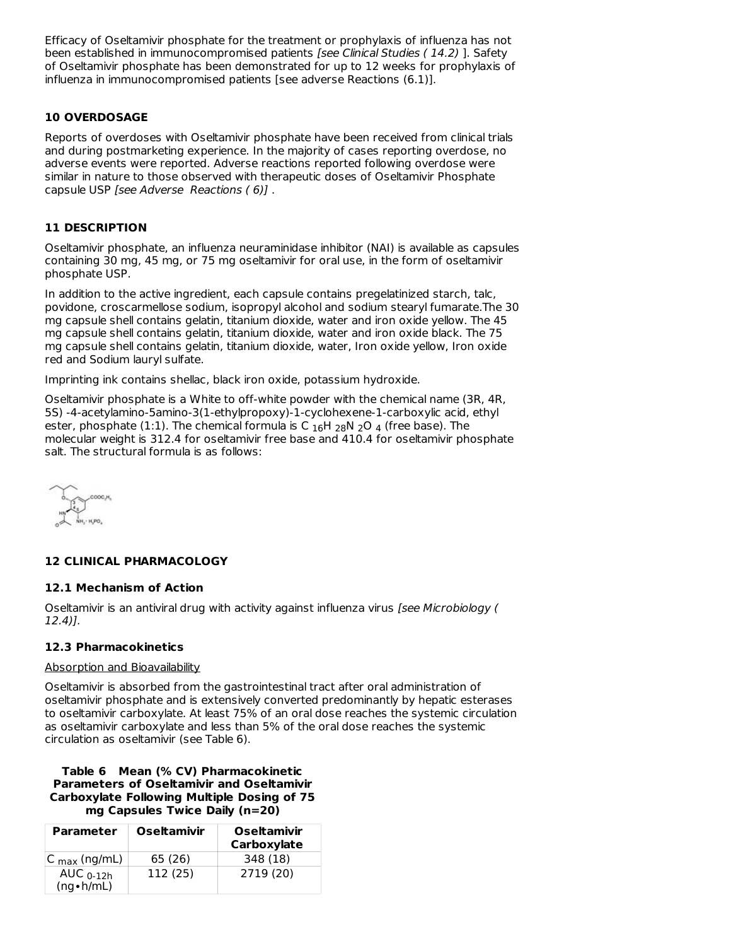Efficacy of Oseltamivir phosphate for the treatment or prophylaxis of influenza has not been established in immunocompromised patients [see Clinical Studies ( 14.2) ]. Safety of Oseltamivir phosphate has been demonstrated for up to 12 weeks for prophylaxis of influenza in immunocompromised patients [see adverse Reactions (6.1)].

## **10 OVERDOSAGE**

Reports of overdoses with Oseltamivir phosphate have been received from clinical trials and during postmarketing experience. In the majority of cases reporting overdose, no adverse events were reported. Adverse reactions reported following overdose were similar in nature to those observed with therapeutic doses of Oseltamivir Phosphate capsule USP [see Adverse Reactions ( 6)] .

#### **11 DESCRIPTION**

Oseltamivir phosphate, an influenza neuraminidase inhibitor (NAI) is available as capsules containing 30 mg, 45 mg, or 75 mg oseltamivir for oral use, in the form of oseltamivir phosphate USP.

In addition to the active ingredient, each capsule contains pregelatinized starch, talc, povidone, croscarmellose sodium, isopropyl alcohol and sodium stearyl fumarate.The 30 mg capsule shell contains gelatin, titanium dioxide, water and iron oxide yellow. The 45 mg capsule shell contains gelatin, titanium dioxide, water and iron oxide black. The 75 mg capsule shell contains gelatin, titanium dioxide, water, Iron oxide yellow, Iron oxide red and Sodium lauryl sulfate.

Imprinting ink contains shellac, black iron oxide, potassium hydroxide.

Oseltamivir phosphate is a White to off-white powder with the chemical name (3R, 4R, 5S) -4-acetylamino-5amino-3(1-ethylpropoxy)-1-cyclohexene-1-carboxylic acid, ethyl ester, phosphate (1:1). The chemical formula is C  $_{16}$ H  $_{28}$ N  $_{2}$ O  $_{4}$  (free base). The molecular weight is 312.4 for oseltamivir free base and 410.4 for oseltamivir phosphate salt. The structural formula is as follows:

### **12 CLINICAL PHARMACOLOGY**

#### **12.1 Mechanism of Action**

Oseltamivir is an antiviral drug with activity against influenza virus [see Microbiology ( 12.4)].

### **12.3 Pharmacokinetics**

#### Absorption and Bioavailability

Oseltamivir is absorbed from the gastrointestinal tract after oral administration of oseltamivir phosphate and is extensively converted predominantly by hepatic esterases to oseltamivir carboxylate. At least 75% of an oral dose reaches the systemic circulation as oseltamivir carboxylate and less than 5% of the oral dose reaches the systemic circulation as oseltamivir (see Table 6).

### **Table 6 Mean (% CV) Pharmacokinetic Parameters of Oseltamivir and Oseltamivir Carboxylate Following Multiple Dosing of 75 mg Capsules Twice Daily (n=20)**

| <b>Parameter</b>                 | <b>Oseltamivir</b> | <b>Oseltamivir</b><br>Carboxylate |
|----------------------------------|--------------------|-----------------------------------|
| IC <sub>max</sub> (ng/mL)        | 65 (26)            | 348 (18)                          |
| AUC $0-12h$<br>$(ng \cdot h/mL)$ | 112 (25)           | 2719 (20)                         |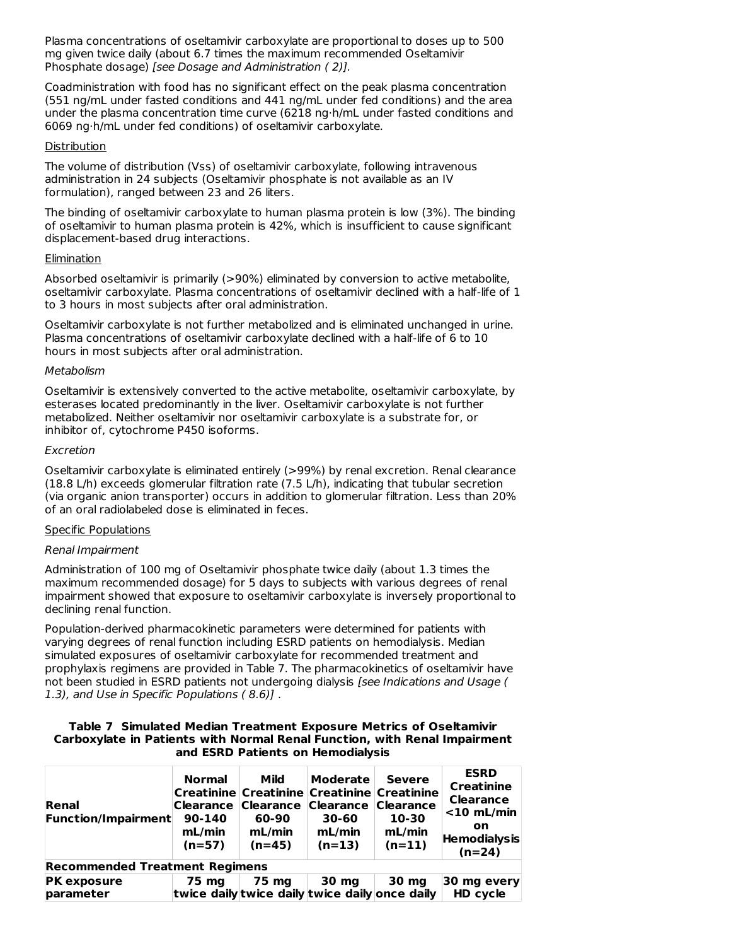Plasma concentrations of oseltamivir carboxylate are proportional to doses up to 500 mg given twice daily (about 6.7 times the maximum recommended Oseltamivir Phosphate dosage) [see Dosage and Administration ( 2)].

Coadministration with food has no significant effect on the peak plasma concentration (551 ng/mL under fasted conditions and 441 ng/mL under fed conditions) and the area under the plasma concentration time curve (6218 ng·h/mL under fasted conditions and 6069 ng·h/mL under fed conditions) of oseltamivir carboxylate.

### **Distribution**

The volume of distribution (Vss) of oseltamivir carboxylate, following intravenous administration in 24 subjects (Oseltamivir phosphate is not available as an IV formulation), ranged between 23 and 26 liters.

The binding of oseltamivir carboxylate to human plasma protein is low (3%). The binding of oseltamivir to human plasma protein is 42%, which is insufficient to cause significant displacement-based drug interactions.

#### **Elimination**

Absorbed oseltamivir is primarily (>90%) eliminated by conversion to active metabolite, oseltamivir carboxylate. Plasma concentrations of oseltamivir declined with a half-life of 1 to 3 hours in most subjects after oral administration.

Oseltamivir carboxylate is not further metabolized and is eliminated unchanged in urine. Plasma concentrations of oseltamivir carboxylate declined with a half-life of 6 to 10 hours in most subjects after oral administration.

#### **Metabolism**

Oseltamivir is extensively converted to the active metabolite, oseltamivir carboxylate, by esterases located predominantly in the liver. Oseltamivir carboxylate is not further metabolized. Neither oseltamivir nor oseltamivir carboxylate is a substrate for, or inhibitor of, cytochrome P450 isoforms.

#### Excretion

Oseltamivir carboxylate is eliminated entirely (>99%) by renal excretion. Renal clearance (18.8 L/h) exceeds glomerular filtration rate (7.5 L/h), indicating that tubular secretion (via organic anion transporter) occurs in addition to glomerular filtration. Less than 20% of an oral radiolabeled dose is eliminated in feces.

### Specific Populations

### Renal Impairment

Administration of 100 mg of Oseltamivir phosphate twice daily (about 1.3 times the maximum recommended dosage) for 5 days to subjects with various degrees of renal impairment showed that exposure to oseltamivir carboxylate is inversely proportional to declining renal function.

Population-derived pharmacokinetic parameters were determined for patients with varying degrees of renal function including ESRD patients on hemodialysis. Median simulated exposures of oseltamivir carboxylate for recommended treatment and prophylaxis regimens are provided in Table 7. The pharmacokinetics of oseltamivir have not been studied in ESRD patients not undergoing dialysis [see Indications and Usage ( 1.3), and Use in Specific Populations ( 8.6)] .

| Table 7 Simulated Median Treatment Exposure Metrics of Oseltamivir        |
|---------------------------------------------------------------------------|
| Carboxylate in Patients with Normal Renal Function, with Renal Impairment |
| and ESRD Patients on Hemodialysis                                         |

| Renal<br><b>Function/Impairment</b>   | <b>Normal</b><br><b>Clearance</b><br>90-140<br>mL/min<br>$(n=57)$ | Mild<br>Creatinine Creatinine Creatinine Creatinine<br><b>Clearance</b><br>60-90<br>mL/min<br>$(n=45)$ | Moderate<br><b>Clearance</b><br>30-60<br>mL/min<br>$(n=13)$ | <b>Severe</b><br><b>Clearance</b><br>10-30<br>mL/min<br>$(n=11)$ | <b>ESRD</b><br><b>Creatinine</b><br><b>Clearance</b><br>$<$ 10 mL/min<br><b>on</b><br><b>Hemodialysis</b><br>$(n=24)$ |
|---------------------------------------|-------------------------------------------------------------------|--------------------------------------------------------------------------------------------------------|-------------------------------------------------------------|------------------------------------------------------------------|-----------------------------------------------------------------------------------------------------------------------|
| <b>Recommended Treatment Regimens</b> |                                                                   |                                                                                                        |                                                             |                                                                  |                                                                                                                       |
| <b>PK exposure</b><br>parameter       | 75 mg                                                             | 75 mg<br>twice daily twice daily twice daily once daily                                                | 30 mg                                                       | 30 mg                                                            | 30 mg every<br><b>HD cycle</b>                                                                                        |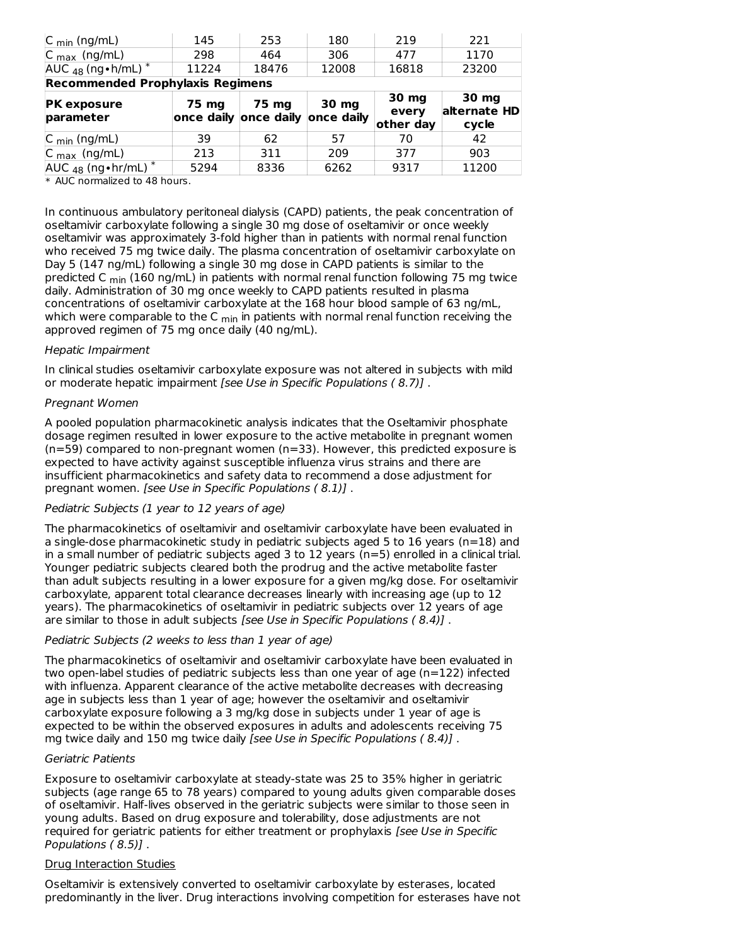| $C_{min}$ (ng/mL)                       | 145   | 253                                       | 180   | 219                         | 221                            |
|-----------------------------------------|-------|-------------------------------------------|-------|-----------------------------|--------------------------------|
| $C_{\text{max}}$ (ng/mL)                | 298   | 464                                       | 306   | 477                         | 1170                           |
| $AUC_{48}$ (ng • h/mL) $*$              | 11224 | 18476                                     | 12008 | 16818                       | 23200                          |
| <b>Recommended Prophylaxis Regimens</b> |       |                                           |       |                             |                                |
| <b>PK exposure</b><br>parameter         | 75 mg | 75 mg<br>once daily once daily once daily | 30 mg | 30 mg<br>every<br>other day | 30 mg<br>alternate HD<br>cycle |
| $C_{\text{min}}$ (ng/mL)                | 39    | 62                                        | 57    | 70                          | 42                             |
| $C_{\text{max}}$ (ng/mL)                | 213   | 311                                       | 209   | 377                         | 903                            |
|                                         |       |                                           |       |                             |                                |

\* AUC normalized to 48 hours.

In continuous ambulatory peritoneal dialysis (CAPD) patients, the peak concentration of oseltamivir carboxylate following a single 30 mg dose of oseltamivir or once weekly oseltamivir was approximately 3-fold higher than in patients with normal renal function who received 75 mg twice daily. The plasma concentration of oseltamivir carboxylate on Day 5 (147 ng/mL) following a single 30 mg dose in CAPD patients is similar to the predicted C <sub>min</sub> (160 ng/mL) in patients with normal renal function following 75 mg twice daily. Administration of 30 mg once weekly to CAPD patients resulted in plasma concentrations of oseltamivir carboxylate at the 168 hour blood sample of 63 ng/mL, which were comparable to the C  $_{\sf min}$  in patients with normal renal function receiving the approved regimen of 75 mg once daily (40 ng/mL).

#### Hepatic Impairment

In clinical studies oseltamivir carboxylate exposure was not altered in subjects with mild or moderate hepatic impairment [see Use in Specific Populations ( 8.7)] .

#### Pregnant Women

A pooled population pharmacokinetic analysis indicates that the Oseltamivir phosphate dosage regimen resulted in lower exposure to the active metabolite in pregnant women (n=59) compared to non-pregnant women (n=33). However, this predicted exposure is expected to have activity against susceptible influenza virus strains and there are insufficient pharmacokinetics and safety data to recommend a dose adjustment for pregnant women. [see Use in Specific Populations ( 8.1)] .

### Pediatric Subjects (1 year to 12 years of age)

The pharmacokinetics of oseltamivir and oseltamivir carboxylate have been evaluated in a single-dose pharmacokinetic study in pediatric subjects aged 5 to 16 years ( $n=18$ ) and in a small number of pediatric subjects aged 3 to 12 years (n=5) enrolled in a clinical trial. Younger pediatric subjects cleared both the prodrug and the active metabolite faster than adult subjects resulting in a lower exposure for a given mg/kg dose. For oseltamivir carboxylate, apparent total clearance decreases linearly with increasing age (up to 12 years). The pharmacokinetics of oseltamivir in pediatric subjects over 12 years of age are similar to those in adult subjects [see Use in Specific Populations (8.4)].

### Pediatric Subjects (2 weeks to less than 1 year of age)

The pharmacokinetics of oseltamivir and oseltamivir carboxylate have been evaluated in two open-label studies of pediatric subjects less than one year of age ( $n=122$ ) infected with influenza. Apparent clearance of the active metabolite decreases with decreasing age in subjects less than 1 year of age; however the oseltamivir and oseltamivir carboxylate exposure following a 3 mg/kg dose in subjects under 1 year of age is expected to be within the observed exposures in adults and adolescents receiving 75 mg twice daily and 150 mg twice daily [see Use in Specific Populations (8.4)].

#### Geriatric Patients

Exposure to oseltamivir carboxylate at steady-state was 25 to 35% higher in geriatric subjects (age range 65 to 78 years) compared to young adults given comparable doses of oseltamivir. Half-lives observed in the geriatric subjects were similar to those seen in young adults. Based on drug exposure and tolerability, dose adjustments are not required for geriatric patients for either treatment or prophylaxis [see Use in Specific Populations ( 8.5)] .

### Drug Interaction Studies

Oseltamivir is extensively converted to oseltamivir carboxylate by esterases, located predominantly in the liver. Drug interactions involving competition for esterases have not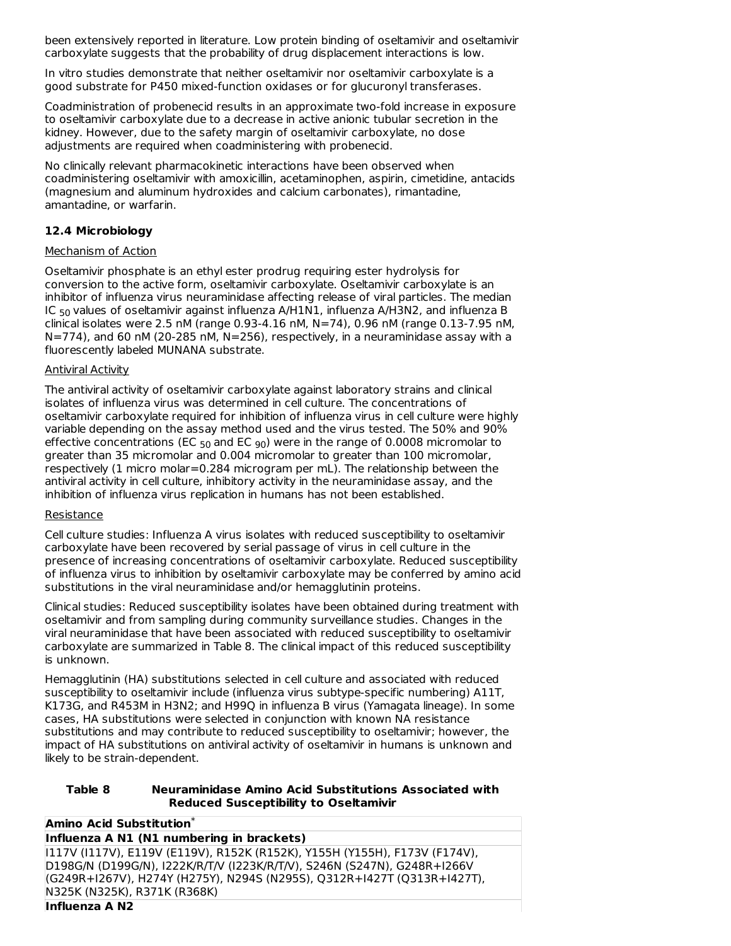been extensively reported in literature. Low protein binding of oseltamivir and oseltamivir carboxylate suggests that the probability of drug displacement interactions is low.

In vitro studies demonstrate that neither oseltamivir nor oseltamivir carboxylate is a good substrate for P450 mixed-function oxidases or for glucuronyl transferases.

Coadministration of probenecid results in an approximate two-fold increase in exposure to oseltamivir carboxylate due to a decrease in active anionic tubular secretion in the kidney. However, due to the safety margin of oseltamivir carboxylate, no dose adjustments are required when coadministering with probenecid.

No clinically relevant pharmacokinetic interactions have been observed when coadministering oseltamivir with amoxicillin, acetaminophen, aspirin, cimetidine, antacids (magnesium and aluminum hydroxides and calcium carbonates), rimantadine, amantadine, or warfarin.

### **12.4 Microbiology**

### Mechanism of Action

Oseltamivir phosphate is an ethyl ester prodrug requiring ester hydrolysis for conversion to the active form, oseltamivir carboxylate. Oseltamivir carboxylate is an inhibitor of influenza virus neuraminidase affecting release of viral particles. The median IC <sub>50</sub> values of oseltamivir against influenza A/H1N1, influenza A/H3N2, and influenza B clinical isolates were 2.5 nM (range 0.93-4.16 nM, N=74), 0.96 nM (range 0.13-7.95 nM,  $N=774$ ), and 60 nM (20-285 nM,  $N=256$ ), respectively, in a neuraminidase assay with a fluorescently labeled MUNANA substrate.

#### Antiviral Activity

The antiviral activity of oseltamivir carboxylate against laboratory strains and clinical isolates of influenza virus was determined in cell culture. The concentrations of oseltamivir carboxylate required for inhibition of influenza virus in cell culture were highly variable depending on the assay method used and the virus tested. The 50% and 90% effective concentrations (EC  $_{50}$  and EC  $_{90}$ ) were in the range of 0.0008 micromolar to greater than 35 micromolar and 0.004 micromolar to greater than 100 micromolar, respectively (1 micro molar=0.284 microgram per mL). The relationship between the antiviral activity in cell culture, inhibitory activity in the neuraminidase assay, and the inhibition of influenza virus replication in humans has not been established.

### Resistance

Cell culture studies: Influenza A virus isolates with reduced susceptibility to oseltamivir carboxylate have been recovered by serial passage of virus in cell culture in the presence of increasing concentrations of oseltamivir carboxylate. Reduced susceptibility of influenza virus to inhibition by oseltamivir carboxylate may be conferred by amino acid substitutions in the viral neuraminidase and/or hemagglutinin proteins.

Clinical studies: Reduced susceptibility isolates have been obtained during treatment with oseltamivir and from sampling during community surveillance studies. Changes in the viral neuraminidase that have been associated with reduced susceptibility to oseltamivir carboxylate are summarized in Table 8. The clinical impact of this reduced susceptibility is unknown.

Hemagglutinin (HA) substitutions selected in cell culture and associated with reduced susceptibility to oseltamivir include (influenza virus subtype-specific numbering) A11T, K173G, and R453M in H3N2; and H99Q in influenza B virus (Yamagata lineage). In some cases, HA substitutions were selected in conjunction with known NA resistance substitutions and may contribute to reduced susceptibility to oseltamivir; however, the impact of HA substitutions on antiviral activity of oseltamivir in humans is unknown and likely to be strain-dependent.

#### **Table 8 Neuraminidase Amino Acid Substitutions Associated with Reduced Susceptibility to Oseltamivir**

| Amino Acid Substitution*                                                  |
|---------------------------------------------------------------------------|
| Influenza A N1 (N1 numbering in brackets)                                 |
| 117V (I117V), E119V (E119V), R152K (R152K), Y155H (Y155H), F173V (F174V), |
| D198G/N (D199G/N), I222K/R/T/V (I223K/R/T/V), S246N (S247N), G248R+I266V  |
| (G249R+I267V), H274Y (H275Y), N294S (N295S), Q312R+I427T (Q313R+I427T),   |
| N325K (N325K), R371K (R368K)                                              |
|                                                                           |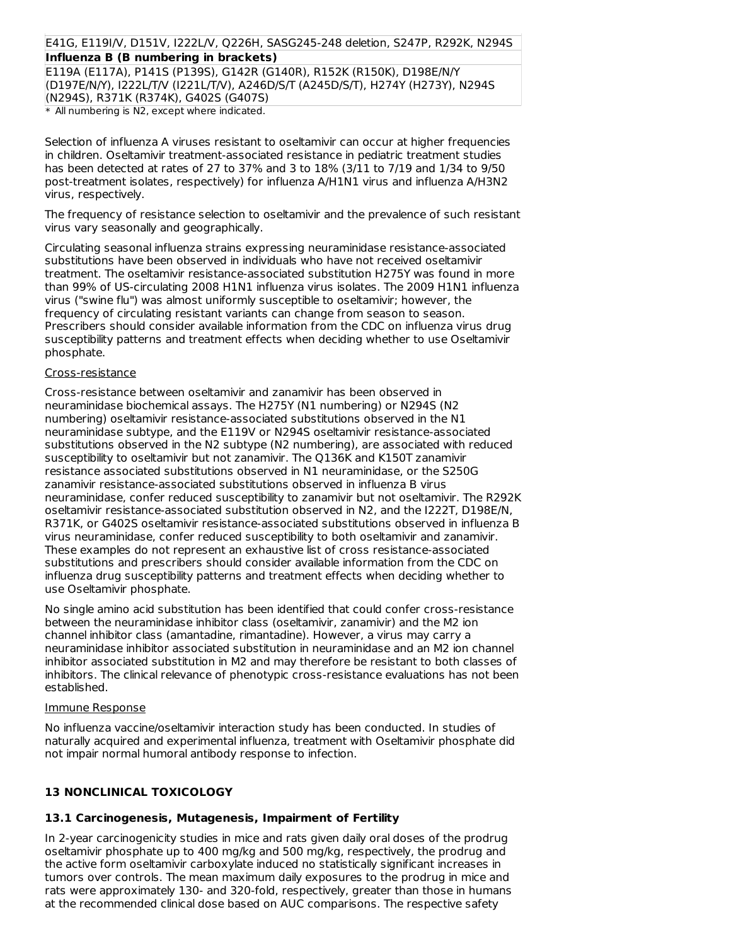## E41G, E119I/V, D151V, I222L/V, Q226H, SASG245-248 deletion, S247P, R292K, N294S **Influenza B (B numbering in brackets)**

E119A (E117A), P141S (P139S), G142R (G140R), R152K (R150K), D198E/N/Y (D197E/N/Y), I222L/T/V (I221L/T/V), A246D/S/T (A245D/S/T), H274Y (H273Y), N294S (N294S), R371K (R374K), G402S (G407S)

\* All numbering is N2, except where indicated.

Selection of influenza A viruses resistant to oseltamivir can occur at higher frequencies in children. Oseltamivir treatment-associated resistance in pediatric treatment studies has been detected at rates of 27 to 37% and 3 to 18% (3/11 to 7/19 and 1/34 to 9/50 post-treatment isolates, respectively) for influenza A/H1N1 virus and influenza A/H3N2 virus, respectively.

The frequency of resistance selection to oseltamivir and the prevalence of such resistant virus vary seasonally and geographically.

Circulating seasonal influenza strains expressing neuraminidase resistance-associated substitutions have been observed in individuals who have not received oseltamivir treatment. The oseltamivir resistance-associated substitution H275Y was found in more than 99% of US-circulating 2008 H1N1 influenza virus isolates. The 2009 H1N1 influenza virus ("swine flu") was almost uniformly susceptible to oseltamivir; however, the frequency of circulating resistant variants can change from season to season. Prescribers should consider available information from the CDC on influenza virus drug susceptibility patterns and treatment effects when deciding whether to use Oseltamivir phosphate.

#### Cross-resistance

Cross-resistance between oseltamivir and zanamivir has been observed in neuraminidase biochemical assays. The H275Y (N1 numbering) or N294S (N2 numbering) oseltamivir resistance-associated substitutions observed in the N1 neuraminidase subtype, and the E119V or N294S oseltamivir resistance-associated substitutions observed in the N2 subtype (N2 numbering), are associated with reduced susceptibility to oseltamivir but not zanamivir. The Q136K and K150T zanamivir resistance associated substitutions observed in N1 neuraminidase, or the S250G zanamivir resistance-associated substitutions observed in influenza B virus neuraminidase, confer reduced susceptibility to zanamivir but not oseltamivir. The R292K oseltamivir resistance-associated substitution observed in N2, and the I222T, D198E/N, R371K, or G402S oseltamivir resistance-associated substitutions observed in influenza B virus neuraminidase, confer reduced susceptibility to both oseltamivir and zanamivir. These examples do not represent an exhaustive list of cross resistance-associated substitutions and prescribers should consider available information from the CDC on influenza drug susceptibility patterns and treatment effects when deciding whether to use Oseltamivir phosphate.

No single amino acid substitution has been identified that could confer cross-resistance between the neuraminidase inhibitor class (oseltamivir, zanamivir) and the M2 ion channel inhibitor class (amantadine, rimantadine). However, a virus may carry a neuraminidase inhibitor associated substitution in neuraminidase and an M2 ion channel inhibitor associated substitution in M2 and may therefore be resistant to both classes of inhibitors. The clinical relevance of phenotypic cross-resistance evaluations has not been established.

#### Immune Response

No influenza vaccine/oseltamivir interaction study has been conducted. In studies of naturally acquired and experimental influenza, treatment with Oseltamivir phosphate did not impair normal humoral antibody response to infection.

### **13 NONCLINICAL TOXICOLOGY**

# **13.1 Carcinogenesis, Mutagenesis, Impairment of Fertility**

In 2-year carcinogenicity studies in mice and rats given daily oral doses of the prodrug oseltamivir phosphate up to 400 mg/kg and 500 mg/kg, respectively, the prodrug and the active form oseltamivir carboxylate induced no statistically significant increases in tumors over controls. The mean maximum daily exposures to the prodrug in mice and rats were approximately 130- and 320-fold, respectively, greater than those in humans at the recommended clinical dose based on AUC comparisons. The respective safety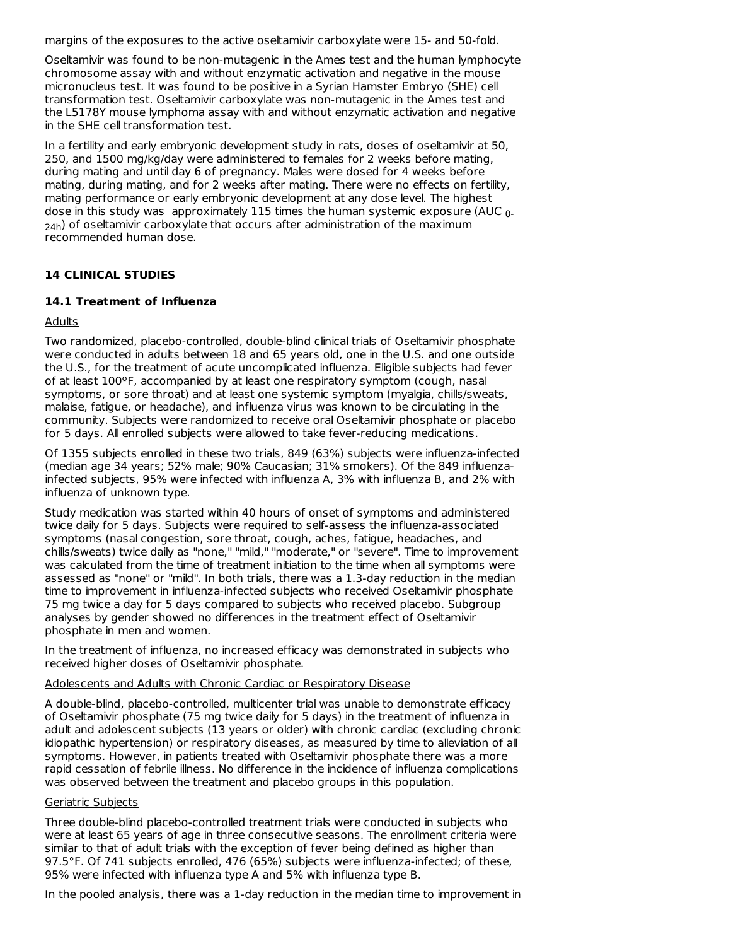margins of the exposures to the active oseltamivir carboxylate were 15- and 50-fold.

Oseltamivir was found to be non-mutagenic in the Ames test and the human lymphocyte chromosome assay with and without enzymatic activation and negative in the mouse micronucleus test. It was found to be positive in a Syrian Hamster Embryo (SHE) cell transformation test. Oseltamivir carboxylate was non-mutagenic in the Ames test and the L5178Y mouse lymphoma assay with and without enzymatic activation and negative in the SHE cell transformation test.

In a fertility and early embryonic development study in rats, doses of oseltamivir at 50, 250, and 1500 mg/kg/day were administered to females for 2 weeks before mating, during mating and until day 6 of pregnancy. Males were dosed for 4 weeks before mating, during mating, and for 2 weeks after mating. There were no effects on fertility, mating performance or early embryonic development at any dose level. The highest dose in this study was  $\,$  approximately 115 times the human systemic exposure (AUC  $_{0^-}$ <sub>24h</sub>) of oseltamivir carboxylate that occurs after administration of the maximum recommended human dose.

### **14 CLINICAL STUDIES**

### **14.1 Treatment of Influenza**

#### Adults

Two randomized, placebo-controlled, double-blind clinical trials of Oseltamivir phosphate were conducted in adults between 18 and 65 years old, one in the U.S. and one outside the U.S., for the treatment of acute uncomplicated influenza. Eligible subjects had fever of at least 100ºF, accompanied by at least one respiratory symptom (cough, nasal symptoms, or sore throat) and at least one systemic symptom (myalgia, chills/sweats, malaise, fatigue, or headache), and influenza virus was known to be circulating in the community. Subjects were randomized to receive oral Oseltamivir phosphate or placebo for 5 days. All enrolled subjects were allowed to take fever-reducing medications.

Of 1355 subjects enrolled in these two trials, 849 (63%) subjects were influenza-infected (median age 34 years; 52% male; 90% Caucasian; 31% smokers). Of the 849 influenzainfected subjects, 95% were infected with influenza A, 3% with influenza B, and 2% with influenza of unknown type.

Study medication was started within 40 hours of onset of symptoms and administered twice daily for 5 days. Subjects were required to self-assess the influenza-associated symptoms (nasal congestion, sore throat, cough, aches, fatigue, headaches, and chills/sweats) twice daily as "none," "mild," "moderate," or "severe". Time to improvement was calculated from the time of treatment initiation to the time when all symptoms were assessed as "none" or "mild". In both trials, there was a 1.3-day reduction in the median time to improvement in influenza-infected subjects who received Oseltamivir phosphate 75 mg twice a day for 5 days compared to subjects who received placebo. Subgroup analyses by gender showed no differences in the treatment effect of Oseltamivir phosphate in men and women.

In the treatment of influenza, no increased efficacy was demonstrated in subjects who received higher doses of Oseltamivir phosphate.

#### Adolescents and Adults with Chronic Cardiac or Respiratory Disease

A double-blind, placebo-controlled, multicenter trial was unable to demonstrate efficacy of Oseltamivir phosphate (75 mg twice daily for 5 days) in the treatment of influenza in adult and adolescent subjects (13 years or older) with chronic cardiac (excluding chronic idiopathic hypertension) or respiratory diseases, as measured by time to alleviation of all symptoms. However, in patients treated with Oseltamivir phosphate there was a more rapid cessation of febrile illness. No difference in the incidence of influenza complications was observed between the treatment and placebo groups in this population.

#### Geriatric Subjects

Three double-blind placebo-controlled treatment trials were conducted in subjects who were at least 65 years of age in three consecutive seasons. The enrollment criteria were similar to that of adult trials with the exception of fever being defined as higher than 97.5°F. Of 741 subjects enrolled, 476 (65%) subjects were influenza-infected; of these, 95% were infected with influenza type A and 5% with influenza type B.

In the pooled analysis, there was a 1-day reduction in the median time to improvement in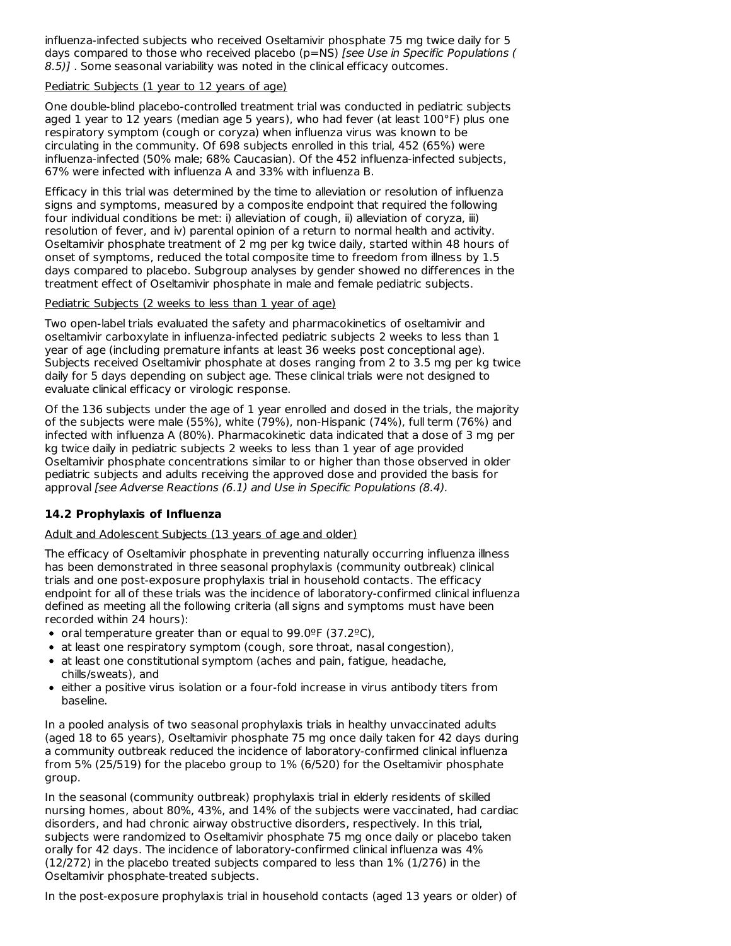influenza-infected subjects who received Oseltamivir phosphate 75 mg twice daily for 5 days compared to those who received placebo (p=NS) [see Use in Specific Populations ( 8.5)]. Some seasonal variability was noted in the clinical efficacy outcomes.

#### Pediatric Subjects (1 year to 12 years of age)

One double-blind placebo-controlled treatment trial was conducted in pediatric subjects aged 1 year to 12 years (median age 5 years), who had fever (at least  $100^{\circ}$ F) plus one respiratory symptom (cough or coryza) when influenza virus was known to be circulating in the community. Of 698 subjects enrolled in this trial, 452 (65%) were influenza-infected (50% male; 68% Caucasian). Of the 452 influenza-infected subjects, 67% were infected with influenza A and 33% with influenza B.

Efficacy in this trial was determined by the time to alleviation or resolution of influenza signs and symptoms, measured by a composite endpoint that required the following four individual conditions be met: i) alleviation of cough, ii) alleviation of coryza, iii) resolution of fever, and iv) parental opinion of a return to normal health and activity. Oseltamivir phosphate treatment of 2 mg per kg twice daily, started within 48 hours of onset of symptoms, reduced the total composite time to freedom from illness by 1.5 days compared to placebo. Subgroup analyses by gender showed no differences in the treatment effect of Oseltamivir phosphate in male and female pediatric subjects.

#### Pediatric Subjects (2 weeks to less than 1 year of age)

Two open-label trials evaluated the safety and pharmacokinetics of oseltamivir and oseltamivir carboxylate in influenza-infected pediatric subjects 2 weeks to less than 1 year of age (including premature infants at least 36 weeks post conceptional age). Subjects received Oseltamivir phosphate at doses ranging from 2 to 3.5 mg per kg twice daily for 5 days depending on subject age. These clinical trials were not designed to evaluate clinical efficacy or virologic response.

Of the 136 subjects under the age of 1 year enrolled and dosed in the trials, the majority of the subjects were male (55%), white (79%), non-Hispanic (74%), full term (76%) and infected with influenza A (80%). Pharmacokinetic data indicated that a dose of 3 mg per kg twice daily in pediatric subjects 2 weeks to less than 1 year of age provided Oseltamivir phosphate concentrations similar to or higher than those observed in older pediatric subjects and adults receiving the approved dose and provided the basis for approval [see Adverse Reactions (6.1) and Use in Specific Populations (8.4).

### **14.2 Prophylaxis of Influenza**

Adult and Adolescent Subjects (13 years of age and older)

The efficacy of Oseltamivir phosphate in preventing naturally occurring influenza illness has been demonstrated in three seasonal prophylaxis (community outbreak) clinical trials and one post-exposure prophylaxis trial in household contacts. The efficacy endpoint for all of these trials was the incidence of laboratory-confirmed clinical influenza defined as meeting all the following criteria (all signs and symptoms must have been recorded within 24 hours):

- oral temperature greater than or equal to  $99.0^{\circ}$ F (37.2 $^{\circ}$ C),
- at least one respiratory symptom (cough, sore throat, nasal congestion),
- at least one constitutional symptom (aches and pain, fatigue, headache, chills/sweats), and
- either a positive virus isolation or a four-fold increase in virus antibody titers from baseline.

In a pooled analysis of two seasonal prophylaxis trials in healthy unvaccinated adults (aged 18 to 65 years), Oseltamivir phosphate 75 mg once daily taken for 42 days during a community outbreak reduced the incidence of laboratory-confirmed clinical influenza from 5% (25/519) for the placebo group to 1% (6/520) for the Oseltamivir phosphate group.

In the seasonal (community outbreak) prophylaxis trial in elderly residents of skilled nursing homes, about 80%, 43%, and 14% of the subjects were vaccinated, had cardiac disorders, and had chronic airway obstructive disorders, respectively. In this trial, subjects were randomized to Oseltamivir phosphate 75 mg once daily or placebo taken orally for 42 days. The incidence of laboratory-confirmed clinical influenza was 4% (12/272) in the placebo treated subjects compared to less than 1% (1/276) in the Oseltamivir phosphate-treated subjects.

In the post-exposure prophylaxis trial in household contacts (aged 13 years or older) of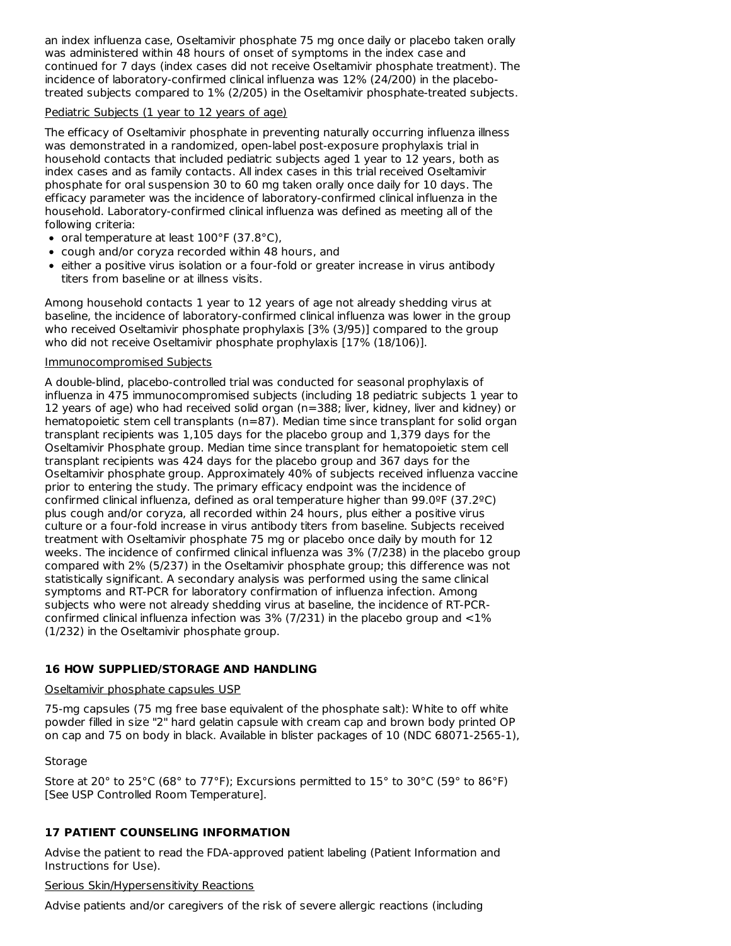an index influenza case, Oseltamivir phosphate 75 mg once daily or placebo taken orally was administered within 48 hours of onset of symptoms in the index case and continued for 7 days (index cases did not receive Oseltamivir phosphate treatment). The incidence of laboratory-confirmed clinical influenza was 12% (24/200) in the placebotreated subjects compared to 1% (2/205) in the Oseltamivir phosphate-treated subjects.

#### Pediatric Subjects (1 year to 12 years of age)

The efficacy of Oseltamivir phosphate in preventing naturally occurring influenza illness was demonstrated in a randomized, open-label post-exposure prophylaxis trial in household contacts that included pediatric subjects aged 1 year to 12 years, both as index cases and as family contacts. All index cases in this trial received Oseltamivir phosphate for oral suspension 30 to 60 mg taken orally once daily for 10 days. The efficacy parameter was the incidence of laboratory-confirmed clinical influenza in the household. Laboratory-confirmed clinical influenza was defined as meeting all of the following criteria:

- oral temperature at least 100°F (37.8°C),
- cough and/or coryza recorded within 48 hours, and
- either a positive virus isolation or a four-fold or greater increase in virus antibody titers from baseline or at illness visits.

Among household contacts 1 year to 12 years of age not already shedding virus at baseline, the incidence of laboratory-confirmed clinical influenza was lower in the group who received Oseltamivir phosphate prophylaxis [3% (3/95)] compared to the group who did not receive Oseltamivir phosphate prophylaxis [17% (18/106)].

### Immunocompromised Subjects

A double-blind, placebo-controlled trial was conducted for seasonal prophylaxis of influenza in 475 immunocompromised subjects (including 18 pediatric subjects 1 year to 12 years of age) who had received solid organ (n=388; liver, kidney, liver and kidney) or hematopoietic stem cell transplants (n=87). Median time since transplant for solid organ transplant recipients was 1,105 days for the placebo group and 1,379 days for the Oseltamivir Phosphate group. Median time since transplant for hematopoietic stem cell transplant recipients was 424 days for the placebo group and 367 days for the Oseltamivir phosphate group. Approximately 40% of subjects received influenza vaccine prior to entering the study. The primary efficacy endpoint was the incidence of confirmed clinical influenza, defined as oral temperature higher than 99.0ºF (37.2ºC) plus cough and/or coryza, all recorded within 24 hours, plus either a positive virus culture or a four-fold increase in virus antibody titers from baseline. Subjects received treatment with Oseltamivir phosphate 75 mg or placebo once daily by mouth for 12 weeks. The incidence of confirmed clinical influenza was 3% (7/238) in the placebo group compared with 2% (5/237) in the Oseltamivir phosphate group; this difference was not statistically significant. A secondary analysis was performed using the same clinical symptoms and RT-PCR for laboratory confirmation of influenza infection. Among subjects who were not already shedding virus at baseline, the incidence of RT-PCRconfirmed clinical influenza infection was  $3\%$  (7/231) in the placebo group and  $\langle 1\%$ (1/232) in the Oseltamivir phosphate group.

### **16 HOW SUPPLIED/STORAGE AND HANDLING**

### Oseltamivir phosphate capsules USP

75-mg capsules (75 mg free base equivalent of the phosphate salt): White to off white powder filled in size "2" hard gelatin capsule with cream cap and brown body printed OP on cap and 75 on body in black. Available in blister packages of 10 (NDC 68071-2565-1),

### Storage

Store at 20° to 25°C (68° to 77°F); Excursions permitted to 15° to 30°C (59° to 86°F) [See USP Controlled Room Temperature].

## **17 PATIENT COUNSELING INFORMATION**

Advise the patient to read the FDA-approved patient labeling (Patient Information and Instructions for Use).

### Serious Skin/Hypersensitivity Reactions

Advise patients and/or caregivers of the risk of severe allergic reactions (including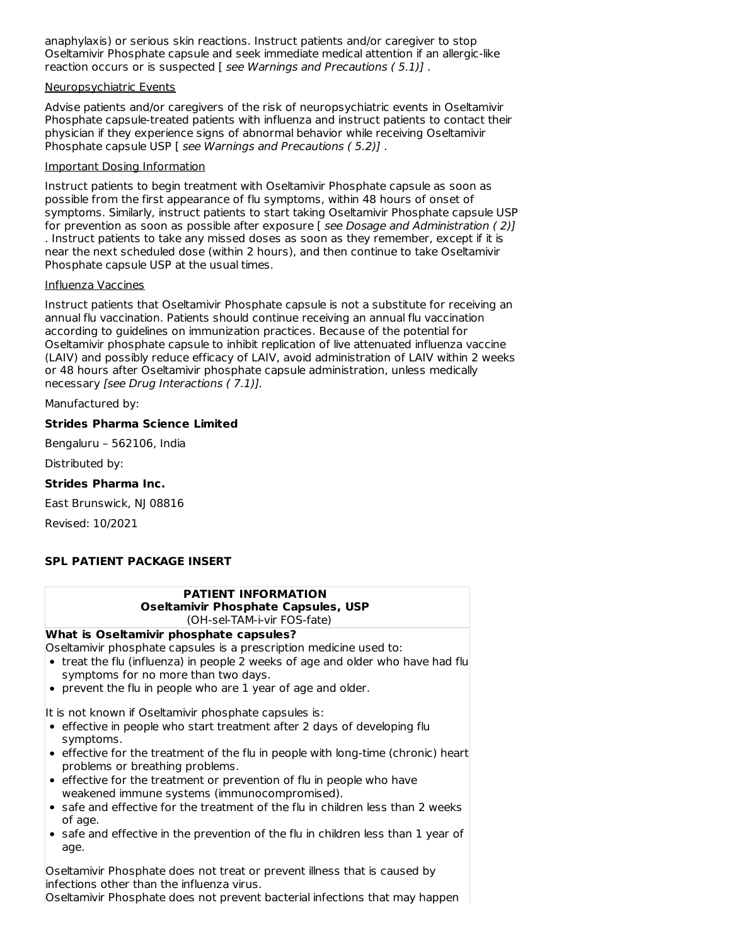anaphylaxis) or serious skin reactions. Instruct patients and/or caregiver to stop Oseltamivir Phosphate capsule and seek immediate medical attention if an allergic-like reaction occurs or is suspected [ see Warnings and Precautions ( 5.1)] .

#### Neuropsychiatric Events

Advise patients and/or caregivers of the risk of neuropsychiatric events in Oseltamivir Phosphate capsule-treated patients with influenza and instruct patients to contact their physician if they experience signs of abnormal behavior while receiving Oseltamivir Phosphate capsule USP [ see Warnings and Precautions ( 5.2)] .

#### Important Dosing Information

Instruct patients to begin treatment with Oseltamivir Phosphate capsule as soon as possible from the first appearance of flu symptoms, within 48 hours of onset of symptoms. Similarly, instruct patients to start taking Oseltamivir Phosphate capsule USP for prevention as soon as possible after exposure [ see Dosage and Administration (2)] . Instruct patients to take any missed doses as soon as they remember, except if it is near the next scheduled dose (within 2 hours), and then continue to take Oseltamivir Phosphate capsule USP at the usual times.

#### Influenza Vaccines

Instruct patients that Oseltamivir Phosphate capsule is not a substitute for receiving an annual flu vaccination. Patients should continue receiving an annual flu vaccination according to guidelines on immunization practices. Because of the potential for Oseltamivir phosphate capsule to inhibit replication of live attenuated influenza vaccine (LAIV) and possibly reduce efficacy of LAIV, avoid administration of LAIV within 2 weeks or 48 hours after Oseltamivir phosphate capsule administration, unless medically necessary [see Drug Interactions ( 7.1)].

Manufactured by:

### **Strides Pharma Science Limited**

Bengaluru – 562106, India

Distributed by:

### **Strides Pharma Inc.**

East Brunswick, NJ 08816

Revised: 10/2021

## **SPL PATIENT PACKAGE INSERT**

| <b>PATIENT INFORMATION</b>                                                                                                                                                                                                                                   |  |  |  |  |  |
|--------------------------------------------------------------------------------------------------------------------------------------------------------------------------------------------------------------------------------------------------------------|--|--|--|--|--|
| Oseltamivir Phosphate Capsules, USP                                                                                                                                                                                                                          |  |  |  |  |  |
| (OH-sel-TAM-i-vir FOS-fate)                                                                                                                                                                                                                                  |  |  |  |  |  |
| What is Oseltamivir phosphate capsules?                                                                                                                                                                                                                      |  |  |  |  |  |
| Oseltamivir phosphate capsules is a prescription medicine used to:<br>• treat the flu (influenza) in people 2 weeks of age and older who have had flu<br>symptoms for no more than two days.<br>• prevent the flu in people who are 1 year of age and older. |  |  |  |  |  |
| It is not known if Oseltamivir phosphate capsules is:                                                                                                                                                                                                        |  |  |  |  |  |
| • effective in people who start treatment after 2 days of developing flu<br>symptoms.                                                                                                                                                                        |  |  |  |  |  |
| • effective for the treatment of the flu in people with long-time (chronic) heart<br>problems or breathing problems.                                                                                                                                         |  |  |  |  |  |
| • effective for the treatment or prevention of flu in people who have<br>weakened immune systems (immunocompromised).                                                                                                                                        |  |  |  |  |  |
| • safe and effective for the treatment of the flu in children less than 2 weeks<br>of age.                                                                                                                                                                   |  |  |  |  |  |
| • safe and effective in the prevention of the flu in children less than 1 year of<br>age.                                                                                                                                                                    |  |  |  |  |  |
| Oseltamivir Phosphate does not treat or prevent illness that is caused by<br>linfections other than the influenza virus.                                                                                                                                     |  |  |  |  |  |
| Oseltamivir Phosphate does not prevent bacterial infections that may happen                                                                                                                                                                                  |  |  |  |  |  |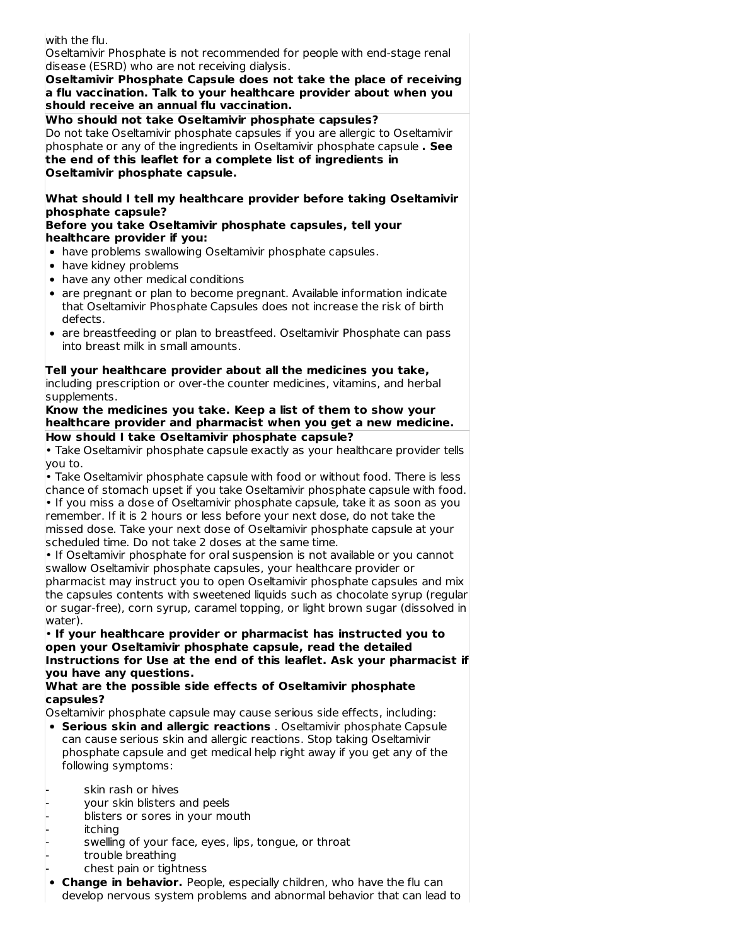| Oseltamivir Phosphate is not recommended for people with end-stage renal                                                                                                                                                                                                                                                |  |  |  |  |  |
|-------------------------------------------------------------------------------------------------------------------------------------------------------------------------------------------------------------------------------------------------------------------------------------------------------------------------|--|--|--|--|--|
| with the flu.<br>disease (ESRD) who are not receiving dialysis.                                                                                                                                                                                                                                                         |  |  |  |  |  |
| Oseltamivir Phosphate Capsule does not take the place of receiving                                                                                                                                                                                                                                                      |  |  |  |  |  |
| a flu vaccination. Talk to your healthcare provider about when you<br>should receive an annual flu vaccination.                                                                                                                                                                                                         |  |  |  |  |  |
| Who should not take Oseltamivir phosphate capsules?                                                                                                                                                                                                                                                                     |  |  |  |  |  |
| Do not take Oseltamivir phosphate capsules if you are allergic to Oseltamivir<br>phosphate or any of the ingredients in Oseltamivir phosphate capsule. See<br>the end of this leaflet for a complete list of ingredients in<br>Oseltamivir phosphate capsule.                                                           |  |  |  |  |  |
|                                                                                                                                                                                                                                                                                                                         |  |  |  |  |  |
| What should I tell my healthcare provider before taking Oseltamivir<br>phosphate capsule?                                                                                                                                                                                                                               |  |  |  |  |  |
| Before you take Oseltamivir phosphate capsules, tell your                                                                                                                                                                                                                                                               |  |  |  |  |  |
| healthcare provider if you:                                                                                                                                                                                                                                                                                             |  |  |  |  |  |
| • have problems swallowing Oseltamivir phosphate capsules.<br>• have kidney problems                                                                                                                                                                                                                                    |  |  |  |  |  |
| • have any other medical conditions                                                                                                                                                                                                                                                                                     |  |  |  |  |  |
| • are pregnant or plan to become pregnant. Available information indicate<br>that Oseltamivir Phosphate Capsules does not increase the risk of birth<br>defects.                                                                                                                                                        |  |  |  |  |  |
| • are breastfeeding or plan to breastfeed. Oseltamivir Phosphate can pass<br>into breast milk in small amounts.                                                                                                                                                                                                         |  |  |  |  |  |
| including prescription or over-the counter medicines, vitamins, and herbal<br>supplements.<br>Know the medicines you take. Keep a list of them to show your<br>healthcare provider and pharmacist when you get a new medicine.                                                                                          |  |  |  |  |  |
| How should I take Oseltamivir phosphate capsule?<br>• Take Oseltamivir phosphate capsule exactly as your healthcare provider tells                                                                                                                                                                                      |  |  |  |  |  |
|                                                                                                                                                                                                                                                                                                                         |  |  |  |  |  |
| you to.                                                                                                                                                                                                                                                                                                                 |  |  |  |  |  |
| . Take Oseltamivir phosphate capsule with food or without food. There is less                                                                                                                                                                                                                                           |  |  |  |  |  |
| chance of stomach upset if you take Oseltamivir phosphate capsule with food.<br>. If you miss a dose of Oseltamivir phosphate capsule, take it as soon as you<br>remember. If it is 2 hours or less before your next dose, do not take the<br>missed dose. Take your next dose of Oseltamivir phosphate capsule at your |  |  |  |  |  |
| scheduled time. Do not take 2 doses at the same time.                                                                                                                                                                                                                                                                   |  |  |  |  |  |
| . If Oseltamivir phosphate for oral suspension is not available or you cannot                                                                                                                                                                                                                                           |  |  |  |  |  |
| swallow Oseltamivir phosphate capsules, your healthcare provider or                                                                                                                                                                                                                                                     |  |  |  |  |  |
| pharmacist may instruct you to open Oseltamivir phosphate capsules and mix                                                                                                                                                                                                                                              |  |  |  |  |  |
| the capsules contents with sweetened liquids such as chocolate syrup (regular                                                                                                                                                                                                                                           |  |  |  |  |  |
| or sugar-free), corn syrup, caramel topping, or light brown sugar (dissolved in<br>water).                                                                                                                                                                                                                              |  |  |  |  |  |
| . If your healthcare provider or pharmacist has instructed you to                                                                                                                                                                                                                                                       |  |  |  |  |  |
| open your Oseltamivir phosphate capsule, read the detailed                                                                                                                                                                                                                                                              |  |  |  |  |  |
| Instructions for Use at the end of this leaflet. Ask your pharmacist if                                                                                                                                                                                                                                                 |  |  |  |  |  |
| you have any questions.                                                                                                                                                                                                                                                                                                 |  |  |  |  |  |
| What are the possible side effects of Oseltamivir phosphate                                                                                                                                                                                                                                                             |  |  |  |  |  |
| capsules?                                                                                                                                                                                                                                                                                                               |  |  |  |  |  |
| Oseltamivir phosphate capsule may cause serious side effects, including:                                                                                                                                                                                                                                                |  |  |  |  |  |
| • Serious skin and allergic reactions . Oseltamivir phosphate Capsule<br>can cause serious skin and allergic reactions. Stop taking Oseltamivir<br>phosphate capsule and get medical help right away if you get any of the                                                                                              |  |  |  |  |  |

- 
- skin rash or hives your skin blisters and peels
- blisters or sores in your mouth
- itching
- swelling of your face, eyes, lips, tongue, or throat
- trouble breathing
	- chest pain or tightness
- **Change in behavior.** People, especially children, who have the flu can develop nervous system problems and abnormal behavior that can lead to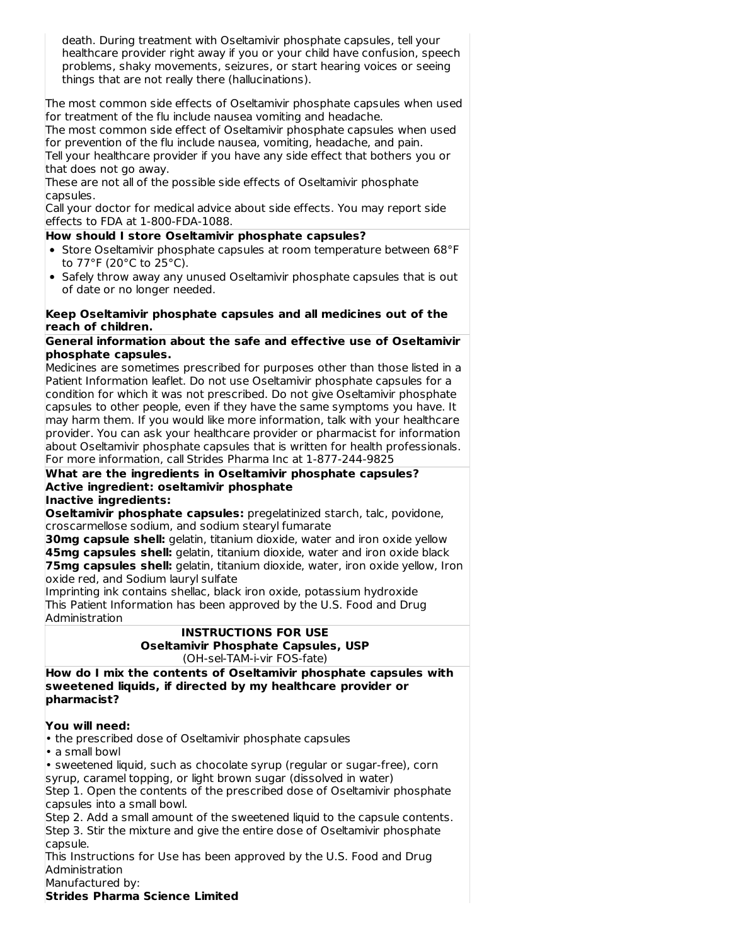| death. During treatment with Oseltamivir phosphate capsules, tell your<br>healthcare provider right away if you or your child have confusion, speech<br>problems, shaky movements, seizures, or start hearing voices or seeing<br>things that are not really there (hallucinations). |  |  |  |  |  |
|--------------------------------------------------------------------------------------------------------------------------------------------------------------------------------------------------------------------------------------------------------------------------------------|--|--|--|--|--|
| The most common side effects of Oseltamivir phosphate capsules when used<br>for treatment of the flu include nausea vomiting and headache.<br>The most common side effect of Oseltamivir phosphate capsules when used                                                                |  |  |  |  |  |
| for prevention of the flu include nausea, vomiting, headache, and pain.<br>Tell your healthcare provider if you have any side effect that bothers you or<br>that does not go away.                                                                                                   |  |  |  |  |  |
| These are not all of the possible side effects of Oseltamivir phosphate                                                                                                                                                                                                              |  |  |  |  |  |
| capsules.<br>Call your doctor for medical advice about side effects. You may report side<br>effects to FDA at 1-800-FDA-1088.                                                                                                                                                        |  |  |  |  |  |
| How should I store Oseltamivir phosphate capsules?                                                                                                                                                                                                                                   |  |  |  |  |  |
| • Store Oseltamivir phosphate capsules at room temperature between 68°F<br>to 77°F (20°C to 25°C).                                                                                                                                                                                   |  |  |  |  |  |
| • Safely throw away any unused Oseltamivir phosphate capsules that is out<br>of date or no longer needed.                                                                                                                                                                            |  |  |  |  |  |
| Keep Oseltamivir phosphate capsules and all medicines out of the<br>reach of children.                                                                                                                                                                                               |  |  |  |  |  |
| General information about the safe and effective use of Oseltamivir                                                                                                                                                                                                                  |  |  |  |  |  |
| phosphate capsules.                                                                                                                                                                                                                                                                  |  |  |  |  |  |
| Medicines are sometimes prescribed for purposes other than those listed in a<br>Patient Information leaflet. Do not use Oseltamivir phosphate capsules for a                                                                                                                         |  |  |  |  |  |
| condition for which it was not prescribed. Do not give Oseltamivir phosphate                                                                                                                                                                                                         |  |  |  |  |  |
| capsules to other people, even if they have the same symptoms you have. It                                                                                                                                                                                                           |  |  |  |  |  |
| may harm them. If you would like more information, talk with your healthcare                                                                                                                                                                                                         |  |  |  |  |  |
| provider. You can ask your healthcare provider or pharmacist for information                                                                                                                                                                                                         |  |  |  |  |  |
| about Oseltamivir phosphate capsules that is written for health professionals.                                                                                                                                                                                                       |  |  |  |  |  |
| For more information, call Strides Pharma Inc at 1-877-244-9825                                                                                                                                                                                                                      |  |  |  |  |  |
| What are the ingredients in Oseltamivir phosphate capsules?<br>Active ingredient: oseltamivir phosphate                                                                                                                                                                              |  |  |  |  |  |
| Inactive ingredients:                                                                                                                                                                                                                                                                |  |  |  |  |  |
| Oseltamivir phosphate capsules: pregelatinized starch, talc, povidone,                                                                                                                                                                                                               |  |  |  |  |  |
| croscarmellose sodium, and sodium stearyl fumarate                                                                                                                                                                                                                                   |  |  |  |  |  |
| 30mg capsule shell: gelatin, titanium dioxide, water and iron oxide yellow                                                                                                                                                                                                           |  |  |  |  |  |
| 45mg capsules shell: gelatin, titanium dioxide, water and iron oxide black                                                                                                                                                                                                           |  |  |  |  |  |
| 75mg capsules shell: gelatin, titanium dioxide, water, iron oxide yellow, Iron                                                                                                                                                                                                       |  |  |  |  |  |
| oxide red, and Sodium lauryl sulfate                                                                                                                                                                                                                                                 |  |  |  |  |  |
| Imprinting ink contains shellac, black iron oxide, potassium hydroxide                                                                                                                                                                                                               |  |  |  |  |  |
| This Patient Information has been approved by the U.S. Food and Drug                                                                                                                                                                                                                 |  |  |  |  |  |
| Administration                                                                                                                                                                                                                                                                       |  |  |  |  |  |
| <b>INSTRUCTIONS FOR USE</b><br><b>Oseltamivir Phosphate Capsules, USP</b><br>(OH-sel-TAM-i-vir FOS-fate)                                                                                                                                                                             |  |  |  |  |  |
| How do I mix the contents of Oseltamivir phosphate capsules with                                                                                                                                                                                                                     |  |  |  |  |  |
| sweetened liquids, if directed by my healthcare provider or<br>pharmacist?                                                                                                                                                                                                           |  |  |  |  |  |
|                                                                                                                                                                                                                                                                                      |  |  |  |  |  |
| You will need:                                                                                                                                                                                                                                                                       |  |  |  |  |  |
| • the prescribed dose of Oseltamivir phosphate capsules<br>· a small bowl                                                                                                                                                                                                            |  |  |  |  |  |
| · sweetened liquid, such as chocolate syrup (regular or sugar-free), corn                                                                                                                                                                                                            |  |  |  |  |  |
| syrup, caramel topping, or light brown sugar (dissolved in water)                                                                                                                                                                                                                    |  |  |  |  |  |
| Step 1. Open the contents of the prescribed dose of Oseltamivir phosphate                                                                                                                                                                                                            |  |  |  |  |  |
| capsules into a small bowl.                                                                                                                                                                                                                                                          |  |  |  |  |  |
| Step 2. Add a small amount of the sweetened liquid to the capsule contents.<br>Step 3. Stir the mixture and give the entire dose of Oseltamivir phosphate                                                                                                                            |  |  |  |  |  |
| capsule.<br>This Instructions for Use has been approved by the U.S. Food and Drug                                                                                                                                                                                                    |  |  |  |  |  |

Administration Manufactured by:

**Strides Pharma Science Limited**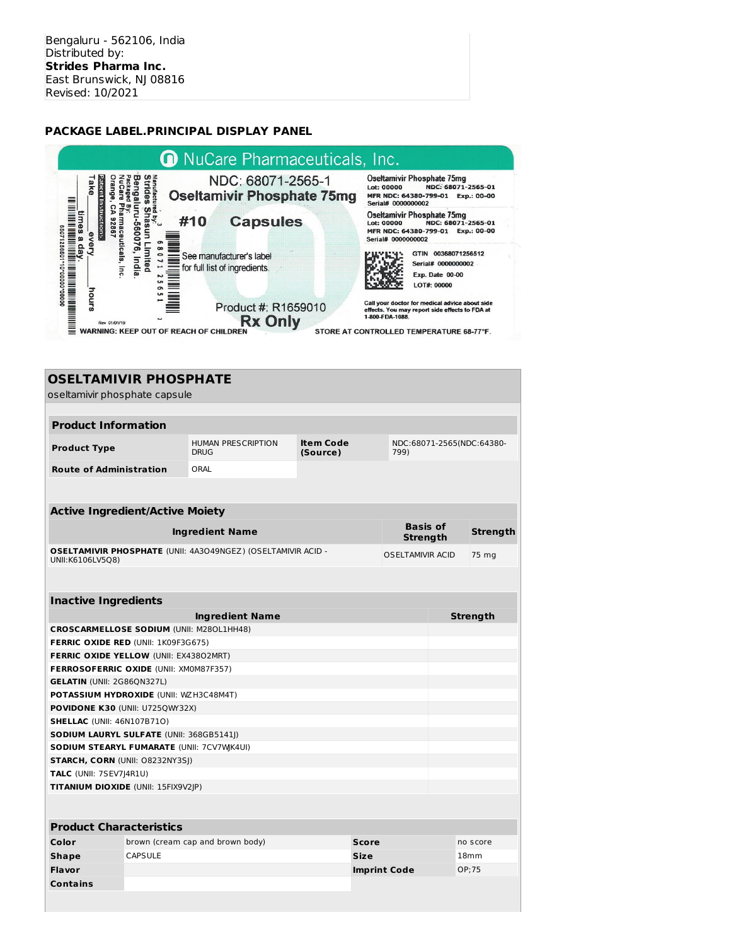## **PACKAGE LABEL.PRINCIPAL DISPLAY PANEL**



# **OSELTAMIVIR PHOSPHATE**

| oseltamivir phosphate capsule                    |                                                 |                                                                     |                              |                                   |                                    |                  |
|--------------------------------------------------|-------------------------------------------------|---------------------------------------------------------------------|------------------------------|-----------------------------------|------------------------------------|------------------|
|                                                  |                                                 |                                                                     |                              |                                   |                                    |                  |
| <b>Product Information</b>                       |                                                 |                                                                     |                              |                                   |                                    |                  |
| <b>Product Type</b>                              |                                                 | <b>HUMAN PRESCRIPTION</b><br><b>DRUG</b>                            | <b>Item Code</b><br>(Source) | NDC:68071-2565(NDC:64380-<br>799) |                                    |                  |
| <b>Route of Administration</b>                   |                                                 | ORAL                                                                |                              |                                   |                                    |                  |
|                                                  |                                                 |                                                                     |                              |                                   |                                    |                  |
| <b>Active Ingredient/Active Moiety</b>           |                                                 |                                                                     |                              |                                   |                                    |                  |
| <b>Ingredient Name</b>                           |                                                 |                                                                     |                              |                                   | <b>Basis of</b><br><b>Strength</b> | <b>Strength</b>  |
| UNII:K6106LV5Q8)                                 |                                                 | <b>OSELTAMIVIR PHOSPHATE (UNII: 4A3O49NGEZ) (OSELTAMIVIR ACID -</b> |                              | <b>OSELTAMIVIR ACID</b>           |                                    | 75 mg            |
|                                                  |                                                 |                                                                     |                              |                                   |                                    |                  |
|                                                  |                                                 |                                                                     |                              |                                   |                                    |                  |
| <b>Inactive Ingredients</b>                      |                                                 |                                                                     |                              |                                   |                                    |                  |
|                                                  |                                                 | <b>Ingredient Name</b>                                              |                              |                                   |                                    | <b>Strength</b>  |
| <b>CROSCARMELLOSE SODIUM (UNII: M280L1HH48)</b>  |                                                 |                                                                     |                              |                                   |                                    |                  |
| <b>FERRIC OXIDE RED (UNII: 1K09F3G675)</b>       |                                                 |                                                                     |                              |                                   |                                    |                  |
| FERRIC OXIDE YELLOW (UNII: EX43802MRT)           |                                                 |                                                                     |                              |                                   |                                    |                  |
| FERROSOFERRIC OXIDE (UNII: XM0M87F357)           |                                                 |                                                                     |                              |                                   |                                    |                  |
| <b>GELATIN (UNII: 2G86QN327L)</b>                |                                                 |                                                                     |                              |                                   |                                    |                  |
| POTASSIUM HYDROXIDE (UNII: WZH3C48M4T)           |                                                 |                                                                     |                              |                                   |                                    |                  |
|                                                  | POVIDONE K30 (UNII: U725QWY32X)                 |                                                                     |                              |                                   |                                    |                  |
| <b>SHELLAC (UNII: 46N107B71O)</b>                |                                                 |                                                                     |                              |                                   |                                    |                  |
|                                                  | <b>SODIUM LAURYL SULFATE (UNII: 368GB5141J)</b> |                                                                     |                              |                                   |                                    |                  |
| <b>SODIUM STEARYL FUMARATE (UNII: 7CV7WK4UI)</b> |                                                 |                                                                     |                              |                                   |                                    |                  |
| <b>STARCH, CORN (UNII: 08232NY3SI)</b>           |                                                 |                                                                     |                              |                                   |                                    |                  |
| <b>TALC</b> (UNII: 7SEV7 4R1U)                   |                                                 |                                                                     |                              |                                   |                                    |                  |
| TITANIUM DIOXIDE (UNII: 15FIX9V2JP)              |                                                 |                                                                     |                              |                                   |                                    |                  |
|                                                  |                                                 |                                                                     |                              |                                   |                                    |                  |
|                                                  |                                                 |                                                                     |                              |                                   |                                    |                  |
| <b>Product Characteristics</b>                   |                                                 |                                                                     |                              |                                   |                                    |                  |
| Color                                            |                                                 | brown (cream cap and brown body)                                    | <b>Score</b>                 |                                   |                                    | no score         |
| <b>Shape</b>                                     | <b>CAPSULE</b>                                  |                                                                     | <b>Size</b>                  |                                   |                                    | 18 <sub>mm</sub> |
| Flavor                                           |                                                 |                                                                     |                              | <b>Imprint Code</b>               |                                    | OP:75            |
| <b>Contains</b>                                  |                                                 |                                                                     |                              |                                   |                                    |                  |